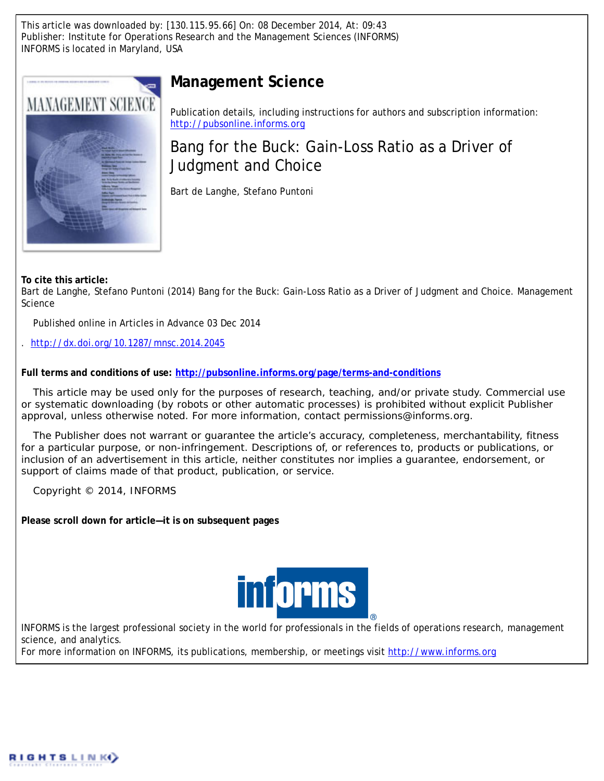This article was downloaded by: [130.115.95.66] On: 08 December 2014, At: 09:43 Publisher: Institute for Operations Research and the Management Sciences (INFORMS) INFORMS is located in Maryland, USA



## **Management Science**

Publication details, including instructions for authors and subscription information: <http://pubsonline.informs.org>

# Bang for the Buck: Gain-Loss Ratio as a Driver of Judgment and Choice

Bart de Langhe, Stefano Puntoni

**To cite this article:**

Bart de Langhe, Stefano Puntoni (2014) Bang for the Buck: Gain-Loss Ratio as a Driver of Judgment and Choice. Management Science

Published online in Articles in Advance 03 Dec 2014

. <http://dx.doi.org/10.1287/mnsc.2014.2045>

**Full terms and conditions of use: <http://pubsonline.informs.org/page/terms-and-conditions>**

This article may be used only for the purposes of research, teaching, and/or private study. Commercial use or systematic downloading (by robots or other automatic processes) is prohibited without explicit Publisher approval, unless otherwise noted. For more information, contact permissions@informs.org.

The Publisher does not warrant or guarantee the article's accuracy, completeness, merchantability, fitness for a particular purpose, or non-infringement. Descriptions of, or references to, products or publications, or inclusion of an advertisement in this article, neither constitutes nor implies a guarantee, endorsement, or support of claims made of that product, publication, or service.

Copyright © 2014, INFORMS

**Please scroll down for article—it is on subsequent pages**



INFORMS is the largest professional society in the world for professionals in the fields of operations research, management science, and analytics.

For more information on INFORMS, its publications, membership, or meetings visit <http://www.informs.org>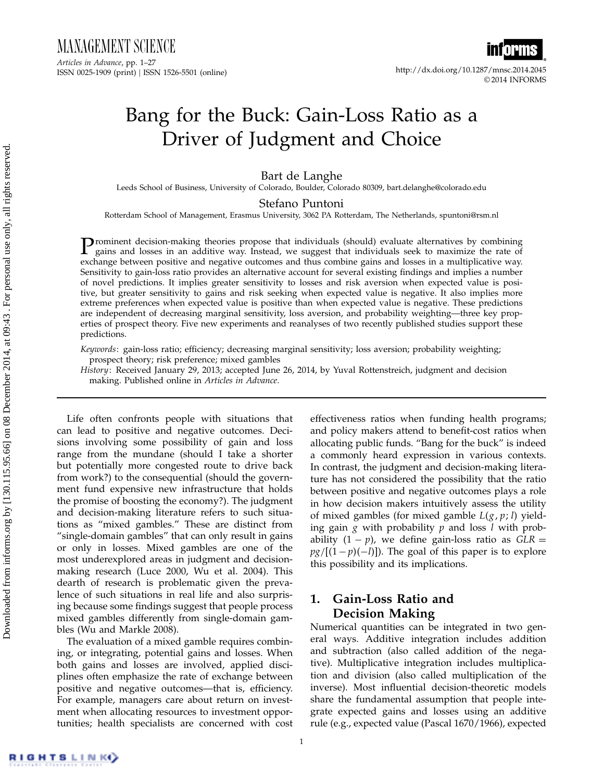MANAGEMENT SCIENCE Articles in Advance, pp. 1–27 ISSN 0025-1909 (print) ISSN 1526-5501 (online) http://dx.doi.org/10.1287/mnsc.2014.2045



© 2014 INFORMS

# Bang for the Buck: Gain-Loss Ratio as a Driver of Judgment and Choice

Bart de Langhe

Leeds School of Business, University of Colorado, Boulder, Colorado 80309, bart.delanghe@colorado.edu

Stefano Puntoni

Rotterdam School of Management, Erasmus University, 3062 PA Rotterdam, The Netherlands, spuntoni@rsm.nl

**P** rominent decision-making theories propose that individuals (should) evaluate alternatives by combining gains and losses in an additive way. Instead, we suggest that individuals seek to maximize the rate of unknown posi gains and losses in an additive way. Instead, we suggest that individuals seek to maximize the rate of exchange between positive and negative outcomes and thus combine gains and losses in a multiplicative way. Sensitivity to gain-loss ratio provides an alternative account for several existing findings and implies a number of novel predictions. It implies greater sensitivity to losses and risk aversion when expected value is positive, but greater sensitivity to gains and risk seeking when expected value is negative. It also implies more extreme preferences when expected value is positive than when expected value is negative. These predictions are independent of decreasing marginal sensitivity, loss aversion, and probability weighting—three key properties of prospect theory. Five new experiments and reanalyses of two recently published studies support these predictions.

Keywords: gain-loss ratio; efficiency; decreasing marginal sensitivity; loss aversion; probability weighting; prospect theory; risk preference; mixed gambles

History: Received January 29, 2013; accepted June 26, 2014, by Yuval Rottenstreich, judgment and decision making. Published online in Articles in Advance.

Life often confronts people with situations that can lead to positive and negative outcomes. Decisions involving some possibility of gain and loss range from the mundane (should I take a shorter but potentially more congested route to drive back from work?) to the consequential (should the government fund expensive new infrastructure that holds the promise of boosting the economy?). The judgment and decision-making literature refers to such situations as "mixed gambles." These are distinct from "single-domain gambles" that can only result in gains or only in losses. Mixed gambles are one of the most underexplored areas in judgment and decisionmaking research (Luce 2000, Wu et al. 2004). This dearth of research is problematic given the prevalence of such situations in real life and also surprising because some findings suggest that people process mixed gambles differently from single-domain gambles (Wu and Markle 2008).

The evaluation of a mixed gamble requires combining, or integrating, potential gains and losses. When both gains and losses are involved, applied disciplines often emphasize the rate of exchange between positive and negative outcomes—that is, efficiency. For example, managers care about return on investment when allocating resources to investment opportunities; health specialists are concerned with cost effectiveness ratios when funding health programs; and policy makers attend to benefit-cost ratios when allocating public funds. "Bang for the buck" is indeed a commonly heard expression in various contexts. In contrast, the judgment and decision-making literature has not considered the possibility that the ratio between positive and negative outcomes plays a role in how decision makers intuitively assess the utility of mixed gambles (for mixed gamble  $L(g, p; l)$  yielding gain g with probability  $p$  and loss l with probability  $(1 - p)$ , we define gain-loss ratio as  $GLR =$  $pg/[(1-p)(-l)]$ ). The goal of this paper is to explore this possibility and its implications.

## 1. Gain-Loss Ratio and Decision Making

Numerical quantities can be integrated in two general ways. Additive integration includes addition and subtraction (also called addition of the negative). Multiplicative integration includes multiplication and division (also called multiplication of the inverse). Most influential decision-theoretic models share the fundamental assumption that people integrate expected gains and losses using an additive rule (e.g., expected value (Pascal 1670/1966), expected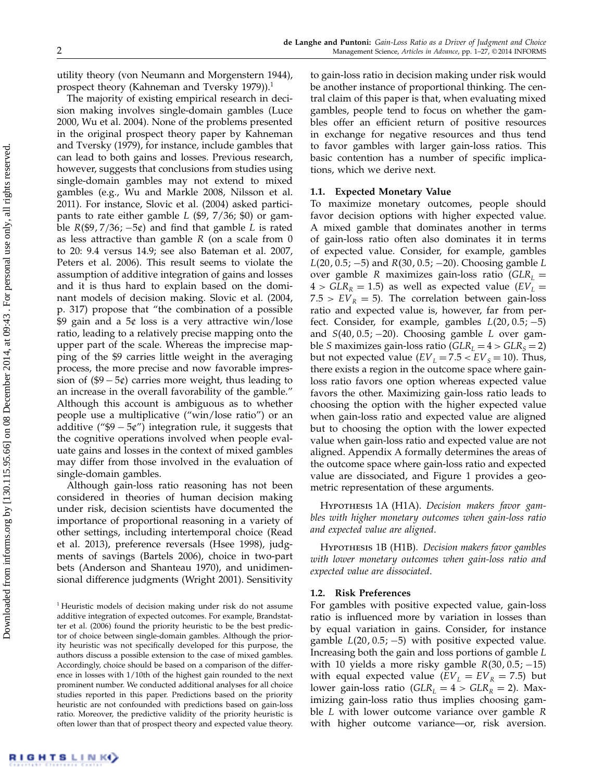utility theory (von Neumann and Morgenstern 1944), prospect theory (Kahneman and Tversky 1979)).<sup>1</sup>

The majority of existing empirical research in decision making involves single-domain gambles (Luce 2000, Wu et al. 2004). None of the problems presented in the original prospect theory paper by Kahneman and Tversky (1979), for instance, include gambles that can lead to both gains and losses. Previous research, however, suggests that conclusions from studies using single-domain gambles may not extend to mixed gambles (e.g., Wu and Markle 2008, Nilsson et al. 2011). For instance, Slovic et al. (2004) asked participants to rate either gamble  $L$  (\$9, 7/36; \$0) or gamble  $R(\$9, 7/36; -5¢)$  and find that gamble L is rated as less attractive than gamble  $R$  (on a scale from 0 to 20: 9.4 versus 14.9; see also Bateman et al. 2007, Peters et al. 2006). This result seems to violate the assumption of additive integration of gains and losses and it is thus hard to explain based on the dominant models of decision making. Slovic et al. (2004, p. 317) propose that "the combination of a possible \$9 gain and a  $5¢$  loss is a very attractive win/lose ratio, leading to a relatively precise mapping onto the upper part of the scale. Whereas the imprecise mapping of the \$9 carries little weight in the averaging process, the more precise and now favorable impression of  $(\$9 - 5¢)$  carries more weight, thus leading to an increase in the overall favorability of the gamble." Although this account is ambiguous as to whether people use a multiplicative ("win/lose ratio") or an additive (" $$9 - 5¢$ ") integration rule, it suggests that the cognitive operations involved when people evaluate gains and losses in the context of mixed gambles may differ from those involved in the evaluation of single-domain gambles.

Although gain-loss ratio reasoning has not been considered in theories of human decision making under risk, decision scientists have documented the importance of proportional reasoning in a variety of other settings, including intertemporal choice (Read et al. 2013), preference reversals (Hsee 1998), judgments of savings (Bartels 2006), choice in two-part bets (Anderson and Shanteau 1970), and unidimensional difference judgments (Wright 2001). Sensitivity to gain-loss ratio in decision making under risk would be another instance of proportional thinking. The central claim of this paper is that, when evaluating mixed gambles, people tend to focus on whether the gambles offer an efficient return of positive resources in exchange for negative resources and thus tend to favor gambles with larger gain-loss ratios. This basic contention has a number of specific implications, which we derive next.

#### 1.1. Expected Monetary Value

To maximize monetary outcomes, people should favor decision options with higher expected value. A mixed gamble that dominates another in terms of gain-loss ratio often also dominates it in terms of expected value. Consider, for example, gambles  $L(20, 0.5, -5)$  and  $R(30, 0.5, -20)$ . Choosing gamble L over gamble R maximizes gain-loss ratio ( $GLR<sub>L</sub>$  =  $4 > GLR<sub>R</sub> = 1.5$ ) as well as expected value ( $EV<sub>L</sub> =$  $7.5 > EV_R = 5$ ). The correlation between gain-loss ratio and expected value is, however, far from perfect. Consider, for example, gambles  $L(20, 0.5, -5)$ and  $S(40, 0.5, -20)$ . Choosing gamble L over gamble *S* maximizes gain-loss ratio ( $GLR_L = 4 > GLR_S = 2$ ) but not expected value  $(EV_L = 7.5 < EV_s = 10)$ . Thus, there exists a region in the outcome space where gainloss ratio favors one option whereas expected value favors the other. Maximizing gain-loss ratio leads to choosing the option with the higher expected value when gain-loss ratio and expected value are aligned but to choosing the option with the lower expected value when gain-loss ratio and expected value are not aligned. Appendix A formally determines the areas of the outcome space where gain-loss ratio and expected value are dissociated, and Figure 1 provides a geometric representation of these arguments.

Hypothesis 1A (H1A). Decision makers favor gambles with higher monetary outcomes when gain-loss ratio and expected value are aligned.

HYPOTHESIS 1B (H1B). Decision makers favor gambles with lower monetary outcomes when gain-loss ratio and expected value are dissociated.

#### 1.2. Risk Preferences

For gambles with positive expected value, gain-loss ratio is influenced more by variation in losses than by equal variation in gains. Consider, for instance gamble  $L(20, 0.5, -5)$  with positive expected value. Increasing both the gain and loss portions of gamble L with 10 yields a more risky gamble  $R(30, 0.5, -15)$ with equal expected value  $(EV_L = EV_R = 7.5)$  but lower gain-loss ratio ( $GLR_L = 4 > GLR_R = 2$ ). Maximizing gain-loss ratio thus implies choosing gamble L with lower outcome variance over gamble R with higher outcome variance—or, risk aversion.

<sup>&</sup>lt;sup>1</sup> Heuristic models of decision making under risk do not assume additive integration of expected outcomes. For example, Brandstatter et al. (2006) found the priority heuristic to be the best predictor of choice between single-domain gambles. Although the priority heuristic was not specifically developed for this purpose, the authors discuss a possible extension to the case of mixed gambles. Accordingly, choice should be based on a comparison of the difference in losses with 1/10th of the highest gain rounded to the next prominent number. We conducted additional analyses for all choice studies reported in this paper. Predictions based on the priority heuristic are not confounded with predictions based on gain-loss ratio. Moreover, the predictive validity of the priority heuristic is often lower than that of prospect theory and expected value theory.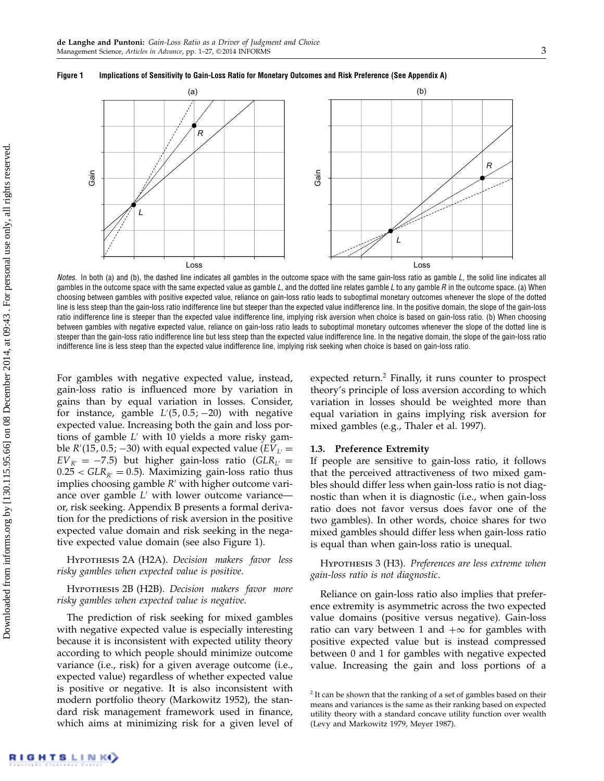



Notes. In both (a) and (b), the dashed line indicates all gambles in the outcome space with the same gain-loss ratio as gamble L, the solid line indicates all gambles in the outcome space with the same expected value as gamble L, and the dotted line relates gamble L to any gamble R in the outcome space. (a) When choosing between gambles with positive expected value, reliance on gain-loss ratio leads to suboptimal monetary outcomes whenever the slope of the dotted line is less steep than the gain-loss ratio indifference line but steeper than the expected value indifference line. In the positive domain, the slope of the gain-loss ratio indifference line is steeper than the expected value indifference line, implying risk aversion when choice is based on gain-loss ratio. (b) When choosing between gambles with negative expected value, reliance on gain-loss ratio leads to suboptimal monetary outcomes whenever the slope of the dotted line is steeper than the gain-loss ratio indifference line but less steep than the expected value indifference line. In the negative domain, the slope of the gain-loss ratio indifference line is less steep than the expected value indifference line, implying risk seeking when choice is based on gain-loss ratio.

For gambles with negative expected value, instead, gain-loss ratio is influenced more by variation in gains than by equal variation in losses. Consider, for instance, gamble  $L'(5, 0.5, -20)$  with negative expected value. Increasing both the gain and loss portions of gamble L' with 10 yields a more risky gamble  $R'(15, 0.5; -30)$  with equal expected value  $(EV_L)$  =  $EV_{R'} = -7.5$ ) but higher gain-loss ratio (GLR<sub>L'</sub> =  $0.25 < GLR_{R'} = 0.5$ ). Maximizing gain-loss ratio thus implies choosing gamble  $R'$  with higher outcome variance over gamble  $L'$  with lower outcome varianceor, risk seeking. Appendix B presents a formal derivation for the predictions of risk aversion in the positive expected value domain and risk seeking in the negative expected value domain (see also Figure 1).

Hypothesis 2A (H2A). Decision makers favor less risky gambles when expected value is positive.

HYPOTHESIS 2B (H2B). Decision makers favor more risky gambles when expected value is negative.

The prediction of risk seeking for mixed gambles with negative expected value is especially interesting because it is inconsistent with expected utility theory according to which people should minimize outcome variance (i.e., risk) for a given average outcome (i.e., expected value) regardless of whether expected value is positive or negative. It is also inconsistent with modern portfolio theory (Markowitz 1952), the standard risk management framework used in finance, which aims at minimizing risk for a given level of expected return.<sup>2</sup> Finally, it runs counter to prospect theory's principle of loss aversion according to which variation in losses should be weighted more than equal variation in gains implying risk aversion for mixed gambles (e.g., Thaler et al. 1997).

#### 1.3. Preference Extremity

If people are sensitive to gain-loss ratio, it follows that the perceived attractiveness of two mixed gambles should differ less when gain-loss ratio is not diagnostic than when it is diagnostic (i.e., when gain-loss ratio does not favor versus does favor one of the two gambles). In other words, choice shares for two mixed gambles should differ less when gain-loss ratio is equal than when gain-loss ratio is unequal.

HYPOTHESIS 3 (H3). Preferences are less extreme when gain-loss ratio is not diagnostic.

Reliance on gain-loss ratio also implies that preference extremity is asymmetric across the two expected value domains (positive versus negative). Gain-loss ratio can vary between 1 and  $+\infty$  for gambles with positive expected value but is instead compressed between 0 and 1 for gambles with negative expected value. Increasing the gain and loss portions of a

<sup>&</sup>lt;sup>2</sup> It can be shown that the ranking of a set of gambles based on their means and variances is the same as their ranking based on expected utility theory with a standard concave utility function over wealth (Levy and Markowitz 1979, Meyer 1987).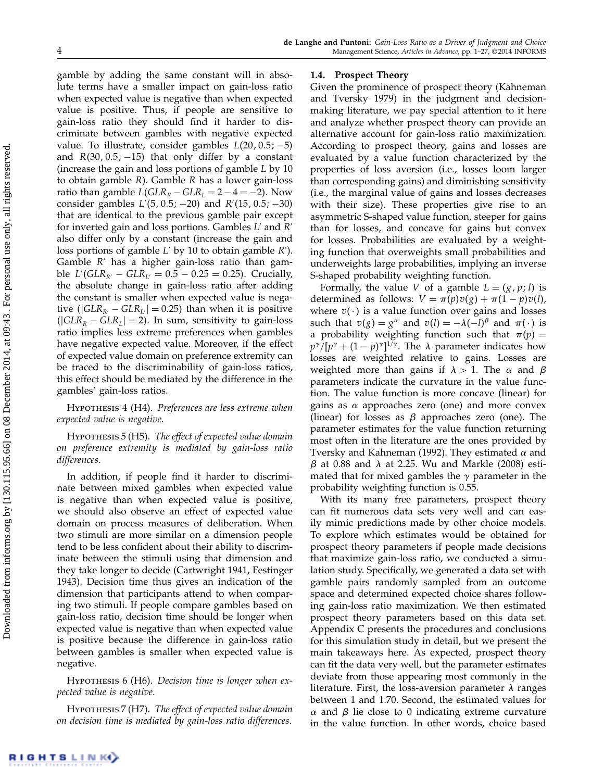gamble by adding the same constant will in absolute terms have a smaller impact on gain-loss ratio when expected value is negative than when expected value is positive. Thus, if people are sensitive to gain-loss ratio they should find it harder to discriminate between gambles with negative expected value. To illustrate, consider gambles  $L(20, 0.5, -5)$ and  $R(30, 0.5, -15)$  that only differ by a constant (increase the gain and loss portions of gamble L by 10 to obtain gamble  $R$ ). Gamble  $R$  has a lower gain-loss ratio than gamble  $L(GLR_R - GLR_L = 2-4 = -2)$ . Now consider gambles  $L'(5, 0.5, -20)$  and  $R'(15, 0.5, -30)$ that are identical to the previous gamble pair except for inverted gain and loss portions. Gambles  $L'$  and  $R'$ also differ only by a constant (increase the gain and loss portions of gamble  $L'$  by 10 to obtain gamble  $R'$ ). Gamble R' has a higher gain-loss ratio than gamble  $L'(GLR_{R'} - GLR_{L'} = 0.5 - 0.25 = 0.25)$ . Crucially, the absolute change in gain-loss ratio after adding the constant is smaller when expected value is negative ( $|GLR_{R'}-GLR_{L'}|=0.25$ ) than when it is positive  $(|GLR_R - GLR_L| = 2)$ . In sum, sensitivity to gain-loss ratio implies less extreme preferences when gambles have negative expected value. Moreover, if the effect of expected value domain on preference extremity can be traced to the discriminability of gain-loss ratios, this effect should be mediated by the difference in the gambles' gain-loss ratios.

HYPOTHESIS 4 (H4). Preferences are less extreme when expected value is negative.

HYPOTHESIS 5 (H5). The effect of expected value domain on preference extremity is mediated by gain-loss ratio differences.

In addition, if people find it harder to discriminate between mixed gambles when expected value is negative than when expected value is positive, we should also observe an effect of expected value domain on process measures of deliberation. When two stimuli are more similar on a dimension people tend to be less confident about their ability to discriminate between the stimuli using that dimension and they take longer to decide (Cartwright 1941, Festinger 1943). Decision time thus gives an indication of the dimension that participants attend to when comparing two stimuli. If people compare gambles based on gain-loss ratio, decision time should be longer when expected value is negative than when expected value is positive because the difference in gain-loss ratio between gambles is smaller when expected value is negative.

HYPOTHESIS 6 (H6). Decision time is longer when  $ex$ pected value is negative.

HYPOTHESIS 7 (H7). The effect of expected value domain on decision time is mediated by gain-loss ratio differences.

#### 1.4. Prospect Theory

Given the prominence of prospect theory (Kahneman and Tversky 1979) in the judgment and decisionmaking literature, we pay special attention to it here and analyze whether prospect theory can provide an alternative account for gain-loss ratio maximization. According to prospect theory, gains and losses are evaluated by a value function characterized by the properties of loss aversion (i.e., losses loom larger than corresponding gains) and diminishing sensitivity (i.e., the marginal value of gains and losses decreases with their size). These properties give rise to an asymmetric S-shaped value function, steeper for gains than for losses, and concave for gains but convex for losses. Probabilities are evaluated by a weighting function that overweights small probabilities and underweights large probabilities, implying an inverse S-shaped probability weighting function.

Formally, the value V of a gamble  $L = (g, p; l)$  is determined as follows:  $V = \pi(p)v(g) + \pi(1-p)v(l)$ , where  $v(\cdot)$  is a value function over gains and losses such that  $v(g) = g^{\alpha}$  and  $v(l) = -\lambda(-l)^{\beta}$  and  $\pi(\cdot)$  is a probability weighting function such that  $\pi(p)$  =  $p^{\gamma}/[p^{\gamma} + (1-p)^{\gamma}]^{1/\gamma}$ . The  $\lambda$  parameter indicates how losses are weighted relative to gains. Losses are weighted more than gains if  $\lambda > 1$ . The  $\alpha$  and  $\beta$ parameters indicate the curvature in the value function. The value function is more concave (linear) for gains as  $\alpha$  approaches zero (one) and more convex (linear) for losses as  $\beta$  approaches zero (one). The parameter estimates for the value function returning most often in the literature are the ones provided by Tversky and Kahneman (1992). They estimated  $\alpha$  and  $\beta$  at 0.88 and  $\lambda$  at 2.25. Wu and Markle (2008) estimated that for mixed gambles the  $\gamma$  parameter in the probability weighting function is 0.55.

With its many free parameters, prospect theory can fit numerous data sets very well and can easily mimic predictions made by other choice models. To explore which estimates would be obtained for prospect theory parameters if people made decisions that maximize gain-loss ratio, we conducted a simulation study. Specifically, we generated a data set with gamble pairs randomly sampled from an outcome space and determined expected choice shares following gain-loss ratio maximization. We then estimated prospect theory parameters based on this data set. Appendix C presents the procedures and conclusions for this simulation study in detail, but we present the main takeaways here. As expected, prospect theory can fit the data very well, but the parameter estimates deviate from those appearing most commonly in the literature. First, the loss-aversion parameter  $\lambda$  ranges between 1 and 1.70. Second, the estimated values for  $\alpha$  and  $\beta$  lie close to 0 indicating extreme curvature in the value function. In other words, choice based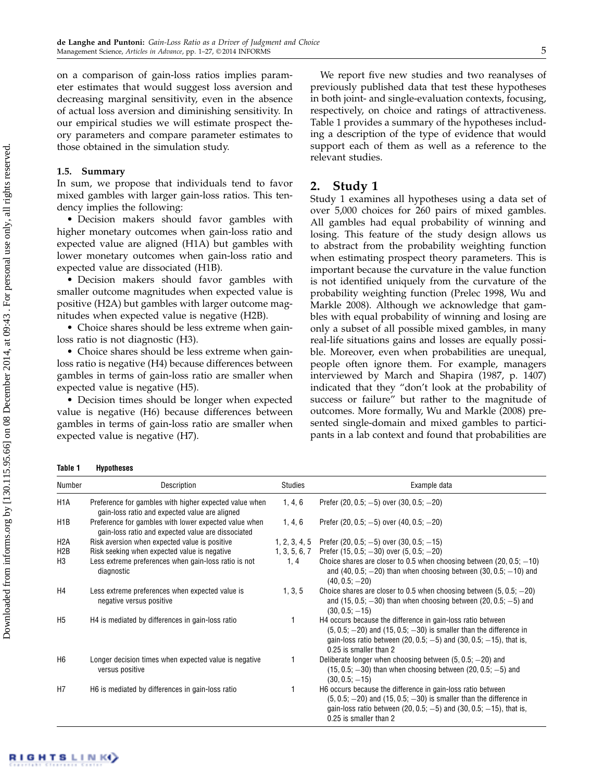on a comparison of gain-loss ratios implies parameter estimates that would suggest loss aversion and decreasing marginal sensitivity, even in the absence of actual loss aversion and diminishing sensitivity. In our empirical studies we will estimate prospect theory parameters and compare parameter estimates to those obtained in the simulation study.

## 1.5. Summary

In sum, we propose that individuals tend to favor mixed gambles with larger gain-loss ratios. This tendency implies the following:

• Decision makers should favor gambles with higher monetary outcomes when gain-loss ratio and expected value are aligned (H1A) but gambles with lower monetary outcomes when gain-loss ratio and expected value are dissociated (H1B).

• Decision makers should favor gambles with smaller outcome magnitudes when expected value is positive (H2A) but gambles with larger outcome magnitudes when expected value is negative (H2B).

• Choice shares should be less extreme when gainloss ratio is not diagnostic (H3).

• Choice shares should be less extreme when gainloss ratio is negative (H4) because differences between gambles in terms of gain-loss ratio are smaller when expected value is negative (H5).

• Decision times should be longer when expected value is negative (H6) because differences between gambles in terms of gain-loss ratio are smaller when expected value is negative (H7).

We report five new studies and two reanalyses of previously published data that test these hypotheses in both joint- and single-evaluation contexts, focusing, respectively, on choice and ratings of attractiveness. Table 1 provides a summary of the hypotheses including a description of the type of evidence that would support each of them as well as a reference to the relevant studies.

## 2. Study 1

Study 1 examines all hypotheses using a data set of over 5,000 choices for 260 pairs of mixed gambles. All gambles had equal probability of winning and losing. This feature of the study design allows us to abstract from the probability weighting function when estimating prospect theory parameters. This is important because the curvature in the value function is not identified uniquely from the curvature of the probability weighting function (Prelec 1998, Wu and Markle 2008). Although we acknowledge that gambles with equal probability of winning and losing are only a subset of all possible mixed gambles, in many real-life situations gains and losses are equally possible. Moreover, even when probabilities are unequal, people often ignore them. For example, managers interviewed by March and Shapira (1987, p. 1407) indicated that they "don't look at the probability of success or failure" but rather to the magnitude of outcomes. More formally, Wu and Markle (2008) presented single-domain and mixed gambles to participants in a lab context and found that probabilities are

| Table 1 | <b>Hypotheses</b> |
|---------|-------------------|
|---------|-------------------|

| Number           | Description                                                                                                 | <b>Studies</b> | Example data                                                                                                                                                                                                                                |
|------------------|-------------------------------------------------------------------------------------------------------------|----------------|---------------------------------------------------------------------------------------------------------------------------------------------------------------------------------------------------------------------------------------------|
| H <sub>1</sub> A | Preference for gambles with higher expected value when<br>gain-loss ratio and expected value are aligned    | 1, 4, 6        | Prefer $(20, 0.5, -5)$ over $(30, 0.5, -20)$                                                                                                                                                                                                |
| H <sub>1</sub> B | Preference for gambles with lower expected value when<br>gain-loss ratio and expected value are dissociated | 1, 4, 6        | Prefer $(20, 0.5, -5)$ over $(40, 0.5, -20)$                                                                                                                                                                                                |
| H <sub>2</sub> A | Risk aversion when expected value is positive                                                               | 1, 2, 3, 4, 5  | Prefer $(20, 0.5, -5)$ over $(30, 0.5, -15)$                                                                                                                                                                                                |
| H <sub>2</sub> B | Risk seeking when expected value is negative                                                                | 1, 3, 5, 6, 7  | Prefer $(15, 0.5, -30)$ over $(5, 0.5, -20)$                                                                                                                                                                                                |
| H <sub>3</sub>   | Less extreme preferences when gain-loss ratio is not<br>diagnostic                                          | 1, 4           | Choice shares are closer to 0.5 when choosing between $(20, 0.5, -10)$<br>and (40, 0.5; $-20$ ) than when choosing between (30, 0.5; $-10$ ) and<br>$(40, 0.5; -20)$                                                                        |
| H <sub>4</sub>   | Less extreme preferences when expected value is<br>negative versus positive                                 | 1, 3, 5        | Choice shares are closer to 0.5 when choosing between $(5, 0.5, -20)$<br>and (15, 0.5; $-30$ ) than when choosing between (20, 0.5; $-5$ ) and<br>$(30, 0.5; -15)$                                                                          |
| H <sub>5</sub>   | H4 is mediated by differences in gain-loss ratio                                                            | 1              | H4 occurs because the difference in gain-loss ratio between<br>$(5, 0.5, -20)$ and $(15, 0.5, -30)$ is smaller than the difference in<br>gain-loss ratio between (20, 0.5; $-5$ ) and (30, 0.5; $-15$ ), that is,<br>0.25 is smaller than 2 |
| H <sub>6</sub>   | Longer decision times when expected value is negative<br>versus positive                                    | 1              | Deliberate longer when choosing between $(5, 0.5, -20)$ and<br>$(15, 0.5, -30)$ than when choosing between $(20, 0.5, -5)$ and<br>$(30, 0.5; -15)$                                                                                          |
| H7               | H6 is mediated by differences in gain-loss ratio                                                            | 1              | H6 occurs because the difference in gain-loss ratio between<br>$(5, 0.5, -20)$ and $(15, 0.5, -30)$ is smaller than the difference in<br>gain-loss ratio between $(20, 0.5, -5)$ and $(30, 0.5, -15)$ , that is,<br>0.25 is smaller than 2  |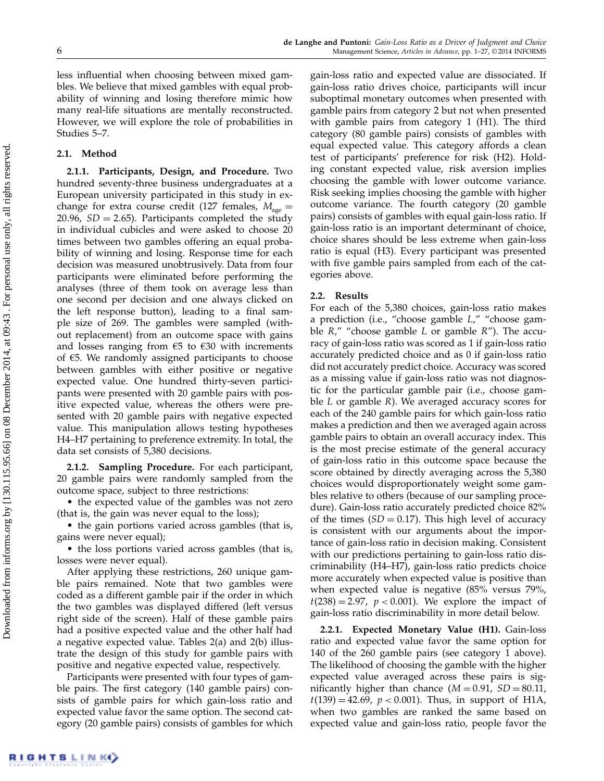less influential when choosing between mixed gambles. We believe that mixed gambles with equal probability of winning and losing therefore mimic how many real-life situations are mentally reconstructed. However, we will explore the role of probabilities in Studies 5–7.

#### 2.1. Method

2.1.1. Participants, Design, and Procedure. Two hundred seventy-three business undergraduates at a European university participated in this study in exchange for extra course credit (127 females,  $M_{\text{age}} =$ 20.96,  $SD = 2.65$ ). Participants completed the study in individual cubicles and were asked to choose 20 times between two gambles offering an equal probability of winning and losing. Response time for each decision was measured unobtrusively. Data from four participants were eliminated before performing the analyses (three of them took on average less than one second per decision and one always clicked on the left response button), leading to a final sample size of 269. The gambles were sampled (without replacement) from an outcome space with gains and losses ranging from  $\epsilon$ 5 to  $\epsilon$ 30 with increments of  $\epsilon$ 5. We randomly assigned participants to choose between gambles with either positive or negative expected value. One hundred thirty-seven participants were presented with 20 gamble pairs with positive expected value, whereas the others were presented with 20 gamble pairs with negative expected value. This manipulation allows testing hypotheses H4–H7 pertaining to preference extremity. In total, the data set consists of 5,380 decisions.

2.1.2. Sampling Procedure. For each participant, 20 gamble pairs were randomly sampled from the outcome space, subject to three restrictions:

• the expected value of the gambles was not zero (that is, the gain was never equal to the loss);

• the gain portions varied across gambles (that is, gains were never equal);

• the loss portions varied across gambles (that is, losses were never equal).

After applying these restrictions, 260 unique gamble pairs remained. Note that two gambles were coded as a different gamble pair if the order in which the two gambles was displayed differed (left versus right side of the screen). Half of these gamble pairs had a positive expected value and the other half had a negative expected value. Tables 2(a) and 2(b) illustrate the design of this study for gamble pairs with positive and negative expected value, respectively.

Participants were presented with four types of gamble pairs. The first category (140 gamble pairs) consists of gamble pairs for which gain-loss ratio and expected value favor the same option. The second category (20 gamble pairs) consists of gambles for which gain-loss ratio and expected value are dissociated. If gain-loss ratio drives choice, participants will incur suboptimal monetary outcomes when presented with gamble pairs from category 2 but not when presented with gamble pairs from category 1 (H1). The third category (80 gamble pairs) consists of gambles with equal expected value. This category affords a clean test of participants' preference for risk (H2). Holding constant expected value, risk aversion implies choosing the gamble with lower outcome variance. Risk seeking implies choosing the gamble with higher outcome variance. The fourth category (20 gamble pairs) consists of gambles with equal gain-loss ratio. If gain-loss ratio is an important determinant of choice, choice shares should be less extreme when gain-loss ratio is equal (H3). Every participant was presented with five gamble pairs sampled from each of the categories above.

#### 2.2. Results

For each of the 5,380 choices, gain-loss ratio makes a prediction (i.e., "choose gamble L," "choose gamble  $R$ ," "choose gamble  $L$  or gamble  $R$ "). The accuracy of gain-loss ratio was scored as 1 if gain-loss ratio accurately predicted choice and as 0 if gain-loss ratio did not accurately predict choice. Accuracy was scored as a missing value if gain-loss ratio was not diagnostic for the particular gamble pair (i.e., choose gamble L or gamble R). We averaged accuracy scores for each of the 240 gamble pairs for which gain-loss ratio makes a prediction and then we averaged again across gamble pairs to obtain an overall accuracy index. This is the most precise estimate of the general accuracy of gain-loss ratio in this outcome space because the score obtained by directly averaging across the 5,380 choices would disproportionately weight some gambles relative to others (because of our sampling procedure). Gain-loss ratio accurately predicted choice 82% of the times  $(SD = 0.17)$ . This high level of accuracy is consistent with our arguments about the importance of gain-loss ratio in decision making. Consistent with our predictions pertaining to gain-loss ratio discriminability (H4–H7), gain-loss ratio predicts choice more accurately when expected value is positive than when expected value is negative (85% versus 79%,  $t(238) = 2.97$ ,  $p < 0.001$ ). We explore the impact of gain-loss ratio discriminability in more detail below.

2.2.1. Expected Monetary Value (H1). Gain-loss ratio and expected value favor the same option for 140 of the 260 gamble pairs (see category 1 above). The likelihood of choosing the gamble with the higher expected value averaged across these pairs is significantly higher than chance  $(M = 0.91, SD = 80.11,$  $t(139) = 42.69$ ,  $p < 0.001$ ). Thus, in support of H1A, when two gambles are ranked the same based on expected value and gain-loss ratio, people favor the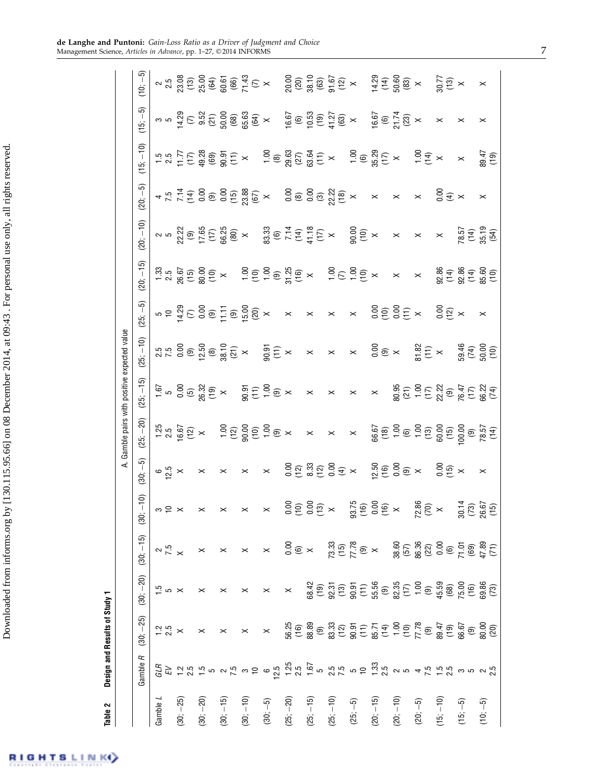| Ì                                          |
|--------------------------------------------|
|                                            |
| ļ                                          |
|                                            |
|                                            |
|                                            |
|                                            |
|                                            |
| ֖֖֖֖֚֚֚֚֚֚֬                                |
|                                            |
|                                            |
|                                            |
|                                            |
|                                            |
|                                            |
|                                            |
|                                            |
|                                            |
|                                            |
|                                            |
|                                            |
| $\overline{\phantom{a}}$                   |
|                                            |
|                                            |
|                                            |
|                                            |
|                                            |
|                                            |
| ĺ<br>i                                     |
|                                            |
|                                            |
| $\frac{1}{2}$                              |
| ١                                          |
| $\overline{a}$                             |
|                                            |
|                                            |
|                                            |
|                                            |
| j                                          |
|                                            |
|                                            |
| $\begin{array}{c} \hline \end{array}$<br>I |
|                                            |
|                                            |
|                                            |
|                                            |
|                                            |
| i                                          |
|                                            |
|                                            |
|                                            |
|                                            |
|                                            |
|                                            |
|                                            |
|                                            |
|                                            |
|                                            |
|                                            |
|                                            |
|                                            |
| j                                          |
|                                            |
|                                            |
|                                            |
|                                            |
|                                            |
|                                            |
|                                            |
|                                            |
|                                            |
|                                            |
|                                            |
|                                            |
| ١                                          |
|                                            |
|                                            |
|                                            |
|                                            |
|                                            |
|                                            |
| ĺ<br>l                                     |
|                                            |
| i<br>١<br>Í<br>I                           |

Design and Results of Study 1 Table 2

| Table 2                    |                                                                                                                                                                                                                                                                                                                                                                 | Design and Results of Study 1                                                                                                                                                                                                |                                                                                                                                                                                                                                                                                                                    |                                                                                                                                                                                                                                                                                                                                                            |                                                               |                             |                                                                                                 |                                                            |                             |                                                                                                                                                                                                                                                                                                                                                 |                                                                                                                                                                                                                                                                                                                      |                                    |                                                                                                                                                                                                                                                                                                                                                            |                                                                                                                                                                                                                                                                                                                                                 |                                    |                        |
|----------------------------|-----------------------------------------------------------------------------------------------------------------------------------------------------------------------------------------------------------------------------------------------------------------------------------------------------------------------------------------------------------------|------------------------------------------------------------------------------------------------------------------------------------------------------------------------------------------------------------------------------|--------------------------------------------------------------------------------------------------------------------------------------------------------------------------------------------------------------------------------------------------------------------------------------------------------------------|------------------------------------------------------------------------------------------------------------------------------------------------------------------------------------------------------------------------------------------------------------------------------------------------------------------------------------------------------------|---------------------------------------------------------------|-----------------------------|-------------------------------------------------------------------------------------------------|------------------------------------------------------------|-----------------------------|-------------------------------------------------------------------------------------------------------------------------------------------------------------------------------------------------------------------------------------------------------------------------------------------------------------------------------------------------|----------------------------------------------------------------------------------------------------------------------------------------------------------------------------------------------------------------------------------------------------------------------------------------------------------------------|------------------------------------|------------------------------------------------------------------------------------------------------------------------------------------------------------------------------------------------------------------------------------------------------------------------------------------------------------------------------------------------------------|-------------------------------------------------------------------------------------------------------------------------------------------------------------------------------------------------------------------------------------------------------------------------------------------------------------------------------------------------|------------------------------------|------------------------|
|                            |                                                                                                                                                                                                                                                                                                                                                                 |                                                                                                                                                                                                                              |                                                                                                                                                                                                                                                                                                                    |                                                                                                                                                                                                                                                                                                                                                            |                                                               | ∢                           |                                                                                                 | Gamble pairs with positive expected value                  |                             |                                                                                                                                                                                                                                                                                                                                                 |                                                                                                                                                                                                                                                                                                                      |                                    |                                                                                                                                                                                                                                                                                                                                                            |                                                                                                                                                                                                                                                                                                                                                 |                                    |                        |
|                            | œ<br>Gamble                                                                                                                                                                                                                                                                                                                                                     | $(30; -25)$                                                                                                                                                                                                                  | $(30, -20)$                                                                                                                                                                                                                                                                                                        | $(30; -15)$                                                                                                                                                                                                                                                                                                                                                | $\frac{1}{2}$<br>(30;                                         | $-5$<br>ġ.                  | $-20$<br>(25,                                                                                   | $-15)$<br>(25,                                             | $-10$<br>(25,               | ဂ<br>$\mathbf{I}$<br>25;                                                                                                                                                                                                                                                                                                                        | $-15$<br>່ສົ່                                                                                                                                                                                                                                                                                                        | $-10$<br>ຊົ່                       | -5<br>20;                                                                                                                                                                                                                                                                                                                                                  | $\frac{1}{2}$<br><u>َ مَا</u>                                                                                                                                                                                                                                                                                                                   | <u>م</u> آ<br>$\mathbf{I}$<br>(15; | л.<br>ġ.               |
| Gamble L                   |                                                                                                                                                                                                                                                                                                                                                                 |                                                                                                                                                                                                                              |                                                                                                                                                                                                                                                                                                                    |                                                                                                                                                                                                                                                                                                                                                            |                                                               |                             |                                                                                                 |                                                            |                             |                                                                                                                                                                                                                                                                                                                                                 |                                                                                                                                                                                                                                                                                                                      |                                    |                                                                                                                                                                                                                                                                                                                                                            |                                                                                                                                                                                                                                                                                                                                                 |                                    |                        |
|                            |                                                                                                                                                                                                                                                                                                                                                                 |                                                                                                                                                                                                                              | ה<br>ב                                                                                                                                                                                                                                                                                                             |                                                                                                                                                                                                                                                                                                                                                            |                                                               |                             |                                                                                                 |                                                            |                             |                                                                                                                                                                                                                                                                                                                                                 |                                                                                                                                                                                                                                                                                                                      |                                    |                                                                                                                                                                                                                                                                                                                                                            |                                                                                                                                                                                                                                                                                                                                                 |                                    |                        |
| $(30; -25)$                |                                                                                                                                                                                                                                                                                                                                                                 | $\frac{2}{1} \frac{15}{21} \times$                                                                                                                                                                                           | $\mathbf{\times}$                                                                                                                                                                                                                                                                                                  | $\sim$ $\frac{10}{10}$ $\times$                                                                                                                                                                                                                                                                                                                            | ຕ $\supseteq x$                                               | $\circ \frac{15}{2} \times$ | $1.55$<br>$2.5$<br>$6.67$<br>$2.5$<br>$7.8$                                                     |                                                            |                             |                                                                                                                                                                                                                                                                                                                                                 |                                                                                                                                                                                                                                                                                                                      |                                    |                                                                                                                                                                                                                                                                                                                                                            |                                                                                                                                                                                                                                                                                                                                                 |                                    |                        |
|                            |                                                                                                                                                                                                                                                                                                                                                                 |                                                                                                                                                                                                                              |                                                                                                                                                                                                                                                                                                                    |                                                                                                                                                                                                                                                                                                                                                            |                                                               |                             |                                                                                                 |                                                            |                             |                                                                                                                                                                                                                                                                                                                                                 |                                                                                                                                                                                                                                                                                                                      |                                    |                                                                                                                                                                                                                                                                                                                                                            |                                                                                                                                                                                                                                                                                                                                                 |                                    |                        |
| $(30; -20)$                |                                                                                                                                                                                                                                                                                                                                                                 | $\pmb{\times}$                                                                                                                                                                                                               |                                                                                                                                                                                                                                                                                                                    |                                                                                                                                                                                                                                                                                                                                                            | $\mathbb{R}$                                                  | $\times$                    |                                                                                                 | $1.67$<br>$5.60$<br>$5.32$<br>$5.32$<br>$5.32$<br>$5.32$   |                             |                                                                                                                                                                                                                                                                                                                                                 |                                                                                                                                                                                                                                                                                                                      |                                    |                                                                                                                                                                                                                                                                                                                                                            |                                                                                                                                                                                                                                                                                                                                                 |                                    |                        |
|                            |                                                                                                                                                                                                                                                                                                                                                                 |                                                                                                                                                                                                                              |                                                                                                                                                                                                                                                                                                                    |                                                                                                                                                                                                                                                                                                                                                            |                                                               |                             |                                                                                                 |                                                            |                             |                                                                                                                                                                                                                                                                                                                                                 |                                                                                                                                                                                                                                                                                                                      |                                    |                                                                                                                                                                                                                                                                                                                                                            |                                                                                                                                                                                                                                                                                                                                                 |                                    |                        |
| $(30; -15)$                | $\widetilde{G}$ $\widetilde{L}$ $\widetilde{L}$ $\widetilde{G}$ $\widetilde{L}$ $\widetilde{G}$ $\widetilde{G}$ $\widetilde{G}$ $\widetilde{G}$ $\widetilde{G}$ $\widetilde{G}$ $\widetilde{G}$ $\widetilde{G}$ $\widetilde{G}$ $\widetilde{G}$ $\widetilde{G}$ $\widetilde{G}$ $\widetilde{G}$ $\widetilde{G}$ $\widetilde{G}$ $\widetilde{G}$ $\widetilde{G}$ | $\mathsf{x} \times \mathsf{x}$                                                                                                                                                                                               |                                                                                                                                                                                                                                                                                                                    |                                                                                                                                                                                                                                                                                                                                                            | $\times$                                                      | $\times$                    |                                                                                                 |                                                            |                             | $P = \frac{1}{2}$ $P = \frac{1}{2}$ $P = \frac{1}{2}$ $P = \frac{1}{2}$ $P = \frac{1}{2}$ $P = \frac{1}{2}$ $P = \frac{1}{2}$ $P = \frac{1}{2}$ $P = \frac{1}{2}$ $P = \frac{1}{2}$ $P = \frac{1}{2}$ $P = \frac{1}{2}$ $P = \frac{1}{2}$ $P = \frac{1}{2}$ $P = \frac{1}{2}$ $P = \frac{1}{2}$ $P = \frac{1}{2}$ $P = \frac{1}{2}$ $P = \frac$ | $\begin{array}{lll} +\, 2 & 2 & 3 \\ 2 & 3 & 4 \\ 3 & 4 & 5 \\ 4 & 5 & 6 \\ 5 & 6 & 6 \\ 6 & 6 & 6 \\ 7 & 6 & 6 \\ 8 & 10 & 6 \\ 9 & 11 & 10 \\ 10 & 11 & 10 \\ 11 & 10 & 10 \\ 12 & 11 & 10 \\ 13 & 12 & 10 & 10 \\ 14 & 10 & 10 & 10 \\ 15 & 10 & 10 & 10 \\ 16 & 10 & 10 & 10 \\ 17 & 10 & 10 & 10 \\ 18 & 10 & $ |                                    | $4 \frac{17}{17} \frac{17}{17} \frac{17}{17} \frac{17}{17} \frac{17}{17} \frac{17}{17} \frac{17}{17} \frac{17}{17} \frac{17}{17} \frac{17}{17} \frac{17}{17} \frac{17}{17} \frac{17}{17} \frac{17}{17} \frac{17}{17} \frac{17}{17} \frac{17}{17} \frac{17}{17} \frac{17}{17} \frac{17}{17} \frac{17}{17} \frac{17}{17} \frac{17}{17} \frac{17}{17} \frac{$ | $\begin{array}{c} 1.55 \\ 1.57 \\ -1.57 \\ -1.57 \\ -1.57 \\ -1.57 \\ -1.57 \\ -1.57 \\ -1.57 \\ -1.57 \\ -1.57 \\ -1.57 \\ -1.57 \\ -1.57 \\ -1.57 \\ -1.57 \\ -1.57 \\ -1.57 \\ -1.57 \\ -1.57 \\ -1.57 \\ -1.57 \\ -1.57 \\ -1.57 \\ -1.57 \\ -1.57 \\ -1.57 \\ -1.57 \\ -1.57 \\ -1.57 \\ -1.57 \\ -1.57 \\ -1.57 \\ -1.57 \\ -1.57 \\ -1.$ |                                    |                        |
|                            |                                                                                                                                                                                                                                                                                                                                                                 |                                                                                                                                                                                                                              |                                                                                                                                                                                                                                                                                                                    |                                                                                                                                                                                                                                                                                                                                                            |                                                               |                             |                                                                                                 |                                                            |                             |                                                                                                                                                                                                                                                                                                                                                 |                                                                                                                                                                                                                                                                                                                      |                                    |                                                                                                                                                                                                                                                                                                                                                            |                                                                                                                                                                                                                                                                                                                                                 |                                    |                        |
| $(30; -10)$<br>$(30; -5)$  |                                                                                                                                                                                                                                                                                                                                                                 |                                                                                                                                                                                                                              | $\boldsymbol{\times}$                                                                                                                                                                                                                                                                                              |                                                                                                                                                                                                                                                                                                                                                            | $\boldsymbol{\times}$                                         | $\times$                    |                                                                                                 | $\times 90.97$<br>$-20.90$<br>$-20.90$                     |                             |                                                                                                                                                                                                                                                                                                                                                 |                                                                                                                                                                                                                                                                                                                      |                                    |                                                                                                                                                                                                                                                                                                                                                            |                                                                                                                                                                                                                                                                                                                                                 |                                    |                        |
|                            |                                                                                                                                                                                                                                                                                                                                                                 |                                                                                                                                                                                                                              |                                                                                                                                                                                                                                                                                                                    |                                                                                                                                                                                                                                                                                                                                                            |                                                               |                             |                                                                                                 |                                                            |                             |                                                                                                                                                                                                                                                                                                                                                 |                                                                                                                                                                                                                                                                                                                      |                                    |                                                                                                                                                                                                                                                                                                                                                            |                                                                                                                                                                                                                                                                                                                                                 |                                    |                        |
|                            |                                                                                                                                                                                                                                                                                                                                                                 | $\times$                                                                                                                                                                                                                     | $\times$                                                                                                                                                                                                                                                                                                           | $\times$                                                                                                                                                                                                                                                                                                                                                   | $\boldsymbol{\times}$                                         | $\boldsymbol{\times}$       |                                                                                                 |                                                            |                             |                                                                                                                                                                                                                                                                                                                                                 |                                                                                                                                                                                                                                                                                                                      |                                    |                                                                                                                                                                                                                                                                                                                                                            |                                                                                                                                                                                                                                                                                                                                                 |                                    |                        |
|                            |                                                                                                                                                                                                                                                                                                                                                                 |                                                                                                                                                                                                                              |                                                                                                                                                                                                                                                                                                                    |                                                                                                                                                                                                                                                                                                                                                            |                                                               |                             |                                                                                                 |                                                            |                             |                                                                                                                                                                                                                                                                                                                                                 |                                                                                                                                                                                                                                                                                                                      |                                    |                                                                                                                                                                                                                                                                                                                                                            |                                                                                                                                                                                                                                                                                                                                                 |                                    |                        |
| $(25; -20)$<br>$(25; -15)$ |                                                                                                                                                                                                                                                                                                                                                                 |                                                                                                                                                                                                                              |                                                                                                                                                                                                                                                                                                                    |                                                                                                                                                                                                                                                                                                                                                            |                                                               |                             |                                                                                                 |                                                            |                             | $\boldsymbol{\times}$                                                                                                                                                                                                                                                                                                                           |                                                                                                                                                                                                                                                                                                                      |                                    |                                                                                                                                                                                                                                                                                                                                                            |                                                                                                                                                                                                                                                                                                                                                 |                                    |                        |
|                            |                                                                                                                                                                                                                                                                                                                                                                 |                                                                                                                                                                                                                              |                                                                                                                                                                                                                                                                                                                    |                                                                                                                                                                                                                                                                                                                                                            |                                                               |                             |                                                                                                 |                                                            |                             |                                                                                                                                                                                                                                                                                                                                                 |                                                                                                                                                                                                                                                                                                                      |                                    |                                                                                                                                                                                                                                                                                                                                                            |                                                                                                                                                                                                                                                                                                                                                 |                                    |                        |
|                            |                                                                                                                                                                                                                                                                                                                                                                 |                                                                                                                                                                                                                              |                                                                                                                                                                                                                                                                                                                    |                                                                                                                                                                                                                                                                                                                                                            |                                                               |                             | $\pmb{\times}$                                                                                  | $\boldsymbol{\times}$                                      | $\boldsymbol{\times}$       | $\,\times\,$                                                                                                                                                                                                                                                                                                                                    |                                                                                                                                                                                                                                                                                                                      |                                    |                                                                                                                                                                                                                                                                                                                                                            |                                                                                                                                                                                                                                                                                                                                                 |                                    |                        |
|                            |                                                                                                                                                                                                                                                                                                                                                                 |                                                                                                                                                                                                                              |                                                                                                                                                                                                                                                                                                                    |                                                                                                                                                                                                                                                                                                                                                            |                                                               |                             |                                                                                                 |                                                            |                             |                                                                                                                                                                                                                                                                                                                                                 |                                                                                                                                                                                                                                                                                                                      |                                    |                                                                                                                                                                                                                                                                                                                                                            |                                                                                                                                                                                                                                                                                                                                                 |                                    |                        |
|                            |                                                                                                                                                                                                                                                                                                                                                                 |                                                                                                                                                                                                                              |                                                                                                                                                                                                                                                                                                                    |                                                                                                                                                                                                                                                                                                                                                            |                                                               |                             | $\times$                                                                                        | $\boldsymbol{\times}$                                      | $\boldsymbol{\times}$       | $\boldsymbol{\times}$                                                                                                                                                                                                                                                                                                                           |                                                                                                                                                                                                                                                                                                                      |                                    |                                                                                                                                                                                                                                                                                                                                                            |                                                                                                                                                                                                                                                                                                                                                 |                                    |                        |
| $(25; -10)$                |                                                                                                                                                                                                                                                                                                                                                                 |                                                                                                                                                                                                                              |                                                                                                                                                                                                                                                                                                                    |                                                                                                                                                                                                                                                                                                                                                            |                                                               |                             |                                                                                                 |                                                            |                             |                                                                                                                                                                                                                                                                                                                                                 |                                                                                                                                                                                                                                                                                                                      |                                    |                                                                                                                                                                                                                                                                                                                                                            |                                                                                                                                                                                                                                                                                                                                                 |                                    |                        |
| $(25; -5)$                 |                                                                                                                                                                                                                                                                                                                                                                 |                                                                                                                                                                                                                              |                                                                                                                                                                                                                                                                                                                    |                                                                                                                                                                                                                                                                                                                                                            |                                                               |                             | $\mathbb{R}^{\times}$                                                                           | $\boldsymbol{\times}$                                      | $\boldsymbol{\times}$       | $\boldsymbol{\times}$                                                                                                                                                                                                                                                                                                                           |                                                                                                                                                                                                                                                                                                                      |                                    |                                                                                                                                                                                                                                                                                                                                                            | $1.6$ $\frac{3}{2}$ $\frac{3}{2}$ $\frac{3}{2}$ $\frac{3}{2}$ $\frac{3}{2}$ $\frac{3}{2}$ $\frac{3}{2}$ $\frac{3}{2}$ $\frac{3}{2}$ $\frac{3}{2}$ $\frac{3}{2}$ $\frac{3}{2}$ $\frac{3}{2}$ $\frac{3}{2}$ $\frac{3}{2}$ $\frac{3}{2}$ $\frac{3}{2}$ $\frac{3}{2}$ $\frac{3}{2}$ $\frac{3}{2}$ $\frac{3}{2}$ $\frac{3$                           |                                    |                        |
|                            |                                                                                                                                                                                                                                                                                                                                                                 |                                                                                                                                                                                                                              |                                                                                                                                                                                                                                                                                                                    |                                                                                                                                                                                                                                                                                                                                                            |                                                               |                             |                                                                                                 |                                                            |                             |                                                                                                                                                                                                                                                                                                                                                 |                                                                                                                                                                                                                                                                                                                      |                                    |                                                                                                                                                                                                                                                                                                                                                            |                                                                                                                                                                                                                                                                                                                                                 |                                    |                        |
| $(20; -15)$                |                                                                                                                                                                                                                                                                                                                                                                 |                                                                                                                                                                                                                              |                                                                                                                                                                                                                                                                                                                    |                                                                                                                                                                                                                                                                                                                                                            |                                                               |                             |                                                                                                 | $\times$                                                   |                             |                                                                                                                                                                                                                                                                                                                                                 |                                                                                                                                                                                                                                                                                                                      |                                    | $\boldsymbol{\times}$                                                                                                                                                                                                                                                                                                                                      |                                                                                                                                                                                                                                                                                                                                                 |                                    |                        |
|                            |                                                                                                                                                                                                                                                                                                                                                                 |                                                                                                                                                                                                                              |                                                                                                                                                                                                                                                                                                                    |                                                                                                                                                                                                                                                                                                                                                            |                                                               |                             |                                                                                                 |                                                            |                             |                                                                                                                                                                                                                                                                                                                                                 |                                                                                                                                                                                                                                                                                                                      |                                    |                                                                                                                                                                                                                                                                                                                                                            |                                                                                                                                                                                                                                                                                                                                                 |                                    |                        |
| $(20; -10)$                |                                                                                                                                                                                                                                                                                                                                                                 |                                                                                                                                                                                                                              |                                                                                                                                                                                                                                                                                                                    |                                                                                                                                                                                                                                                                                                                                                            |                                                               |                             |                                                                                                 |                                                            | $\frac{8}{6}$ $\frac{6}{6}$ |                                                                                                                                                                                                                                                                                                                                                 | $\mathbb{R}$                                                                                                                                                                                                                                                                                                         | $\boldsymbol{\times}$              | $\boldsymbol{\times}$                                                                                                                                                                                                                                                                                                                                      |                                                                                                                                                                                                                                                                                                                                                 |                                    |                        |
|                            |                                                                                                                                                                                                                                                                                                                                                                 |                                                                                                                                                                                                                              |                                                                                                                                                                                                                                                                                                                    |                                                                                                                                                                                                                                                                                                                                                            |                                                               |                             |                                                                                                 |                                                            |                             |                                                                                                                                                                                                                                                                                                                                                 |                                                                                                                                                                                                                                                                                                                      |                                    |                                                                                                                                                                                                                                                                                                                                                            |                                                                                                                                                                                                                                                                                                                                                 |                                    |                        |
| $(20, -5)$                 |                                                                                                                                                                                                                                                                                                                                                                 |                                                                                                                                                                                                                              |                                                                                                                                                                                                                                                                                                                    |                                                                                                                                                                                                                                                                                                                                                            |                                                               |                             |                                                                                                 |                                                            |                             |                                                                                                                                                                                                                                                                                                                                                 | $\mathord{\times}$                                                                                                                                                                                                                                                                                                   | $\,\varkappa\,$                    | $\boldsymbol{\times}$                                                                                                                                                                                                                                                                                                                                      |                                                                                                                                                                                                                                                                                                                                                 |                                    |                        |
|                            |                                                                                                                                                                                                                                                                                                                                                                 |                                                                                                                                                                                                                              |                                                                                                                                                                                                                                                                                                                    |                                                                                                                                                                                                                                                                                                                                                            |                                                               |                             |                                                                                                 |                                                            |                             |                                                                                                                                                                                                                                                                                                                                                 |                                                                                                                                                                                                                                                                                                                      |                                    |                                                                                                                                                                                                                                                                                                                                                            |                                                                                                                                                                                                                                                                                                                                                 |                                    |                        |
| $(15; -10)$                |                                                                                                                                                                                                                                                                                                                                                                 |                                                                                                                                                                                                                              |                                                                                                                                                                                                                                                                                                                    |                                                                                                                                                                                                                                                                                                                                                            | $72.86$<br>$(70)$ $\times$                                    |                             |                                                                                                 |                                                            | $\frac{82}{(11)}$ $\times$  |                                                                                                                                                                                                                                                                                                                                                 |                                                                                                                                                                                                                                                                                                                      | $\boldsymbol{\times}$              | $rac{6}{5}$ $\div$                                                                                                                                                                                                                                                                                                                                         |                                                                                                                                                                                                                                                                                                                                                 | $\boldsymbol{\times}$              |                        |
|                            |                                                                                                                                                                                                                                                                                                                                                                 |                                                                                                                                                                                                                              |                                                                                                                                                                                                                                                                                                                    |                                                                                                                                                                                                                                                                                                                                                            |                                                               |                             |                                                                                                 |                                                            |                             |                                                                                                                                                                                                                                                                                                                                                 |                                                                                                                                                                                                                                                                                                                      |                                    |                                                                                                                                                                                                                                                                                                                                                            |                                                                                                                                                                                                                                                                                                                                                 |                                    |                        |
| $(15, -5)$                 |                                                                                                                                                                                                                                                                                                                                                                 |                                                                                                                                                                                                                              |                                                                                                                                                                                                                                                                                                                    |                                                                                                                                                                                                                                                                                                                                                            |                                                               |                             |                                                                                                 |                                                            |                             | $\frac{1}{2}$ $\frac{1}{2}$ $\frac{1}{2}$ $\frac{1}{2}$ $\times$ $\frac{1}{2}$ $\frac{1}{2}$ $\times$                                                                                                                                                                                                                                           |                                                                                                                                                                                                                                                                                                                      |                                    |                                                                                                                                                                                                                                                                                                                                                            | $\boldsymbol{\times}$                                                                                                                                                                                                                                                                                                                           | $\boldsymbol{\times}$              | $\frac{77}{10} \times$ |
|                            |                                                                                                                                                                                                                                                                                                                                                                 |                                                                                                                                                                                                                              |                                                                                                                                                                                                                                                                                                                    |                                                                                                                                                                                                                                                                                                                                                            |                                                               |                             |                                                                                                 |                                                            |                             |                                                                                                                                                                                                                                                                                                                                                 |                                                                                                                                                                                                                                                                                                                      |                                    |                                                                                                                                                                                                                                                                                                                                                            |                                                                                                                                                                                                                                                                                                                                                 |                                    |                        |
| $(10; -5)$                 |                                                                                                                                                                                                                                                                                                                                                                 | $56.33$ (1 6) $36.33$ (1 6) $37.7$ (1 6) $37.7$ (1 6) $39.33$ (1 6) $37.7$ (1 6) $39.7$ (1 6) $39.7$ (1 6) $39.7$ (1 6) $39.7$ (1 6) $39.7$ (1 6) $39.7$ (1 6) $39.7$ (1 6) $39.7$ (1 6) $39.7$ (1 6) $39.7$ (1 6) $39.7$ (1 | $\times$ $\frac{43}{8}$ $\frac{65}{8}$ $\frac{65}{8}$ $\frac{65}{8}$ $\frac{65}{8}$ $\frac{65}{8}$ $\frac{65}{8}$ $\frac{65}{8}$ $\frac{65}{8}$ $\frac{65}{8}$ $\frac{65}{8}$ $\frac{65}{8}$ $\frac{65}{8}$ $\frac{65}{8}$ $\frac{65}{8}$ $\frac{65}{8}$ $\frac{65}{8}$ $\frac{65}{8}$ $\frac{65}{8}$ $\frac{65}{$ | $\begin{array}{lll} 0.00 & \times & 0.000 \\ 0.000 & \times & 0.000 \\ 0.000 & \times & 0.000 \\ 0.000 & \times & 0.000 \\ 0.000 & \times & 0.000 \\ 0.000 & \times & 0.000 \\ 0.000 & \times & 0.000 \\ 0.000 & \times & 0.000 \\ 0.000 & \times & 0.000 \\ 0.000 & \times & 0.000 \\ 0.000 & \times & 0.000 \\ 0.000 & \times & 0.000 \\ 0.000 & \times$ | $\begin{array}{c} 30.14 \\ (73) \\ 26.67 \\ (15) \end{array}$ | ×                           | 06.67<br>06.67<br>06.67<br>06.67<br>06.67<br>06.67<br>06.67<br>06.67<br>06.67<br>06.67<br>06.67 | $80.95\n(21)\n71.02\n(71)\n72.22\n(73)\n74.03\n(74)\n(74)$ | 59.46<br>(74)<br>(10)       | $\boldsymbol{\times}$                                                                                                                                                                                                                                                                                                                           | $92.86$ $(14)$ $92.86$ $(14)$ $65.60$ $(10)$                                                                                                                                                                                                                                                                         | $78.57$<br>(14)<br>$35.19$<br>(54) | $\boldsymbol{\times}$                                                                                                                                                                                                                                                                                                                                      | $39.47$<br>(19)                                                                                                                                                                                                                                                                                                                                 | $\boldsymbol{\times}$              | $\boldsymbol{\times}$  |
|                            |                                                                                                                                                                                                                                                                                                                                                                 |                                                                                                                                                                                                                              |                                                                                                                                                                                                                                                                                                                    |                                                                                                                                                                                                                                                                                                                                                            |                                                               |                             |                                                                                                 |                                                            |                             |                                                                                                                                                                                                                                                                                                                                                 |                                                                                                                                                                                                                                                                                                                      |                                    |                                                                                                                                                                                                                                                                                                                                                            |                                                                                                                                                                                                                                                                                                                                                 |                                    |                        |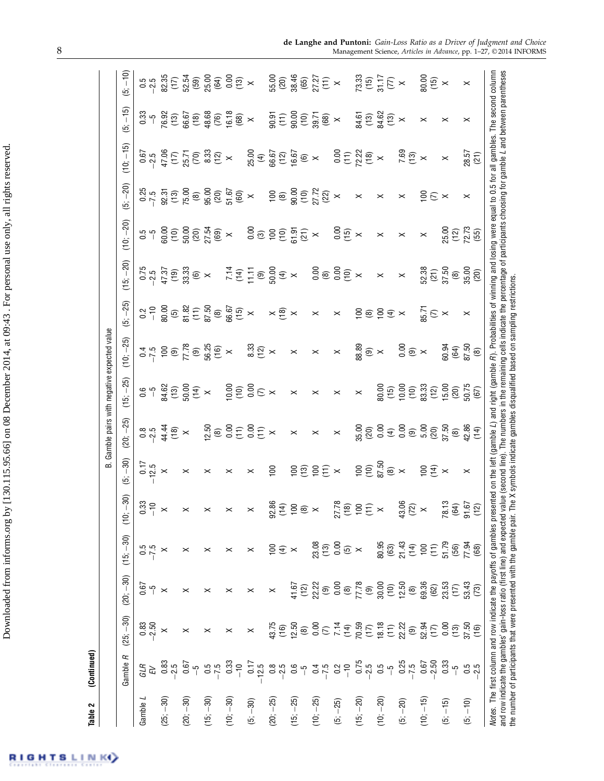| j<br>l                        |
|-------------------------------|
|                               |
| j                             |
|                               |
|                               |
|                               |
| ı                             |
|                               |
|                               |
|                               |
|                               |
| $\ddot{\phantom{a}}$          |
|                               |
|                               |
|                               |
|                               |
|                               |
|                               |
|                               |
| l                             |
|                               |
|                               |
|                               |
| l                             |
|                               |
|                               |
|                               |
|                               |
|                               |
|                               |
| $\vdots$                      |
|                               |
|                               |
|                               |
| ו<br>ו                        |
| l                             |
| ׅ֖֚֚֚֚֡֡֬֝<br>l               |
|                               |
|                               |
|                               |
|                               |
|                               |
|                               |
|                               |
|                               |
| $\overline{\phantom{a}}$<br>١ |
| $\overline{\phantom{a}}$      |
|                               |
|                               |
|                               |
|                               |
|                               |
|                               |
| $\frac{1}{2}$                 |
|                               |
|                               |
|                               |
|                               |
|                               |
|                               |
|                               |
|                               |
| ֚֚֬                           |
|                               |
|                               |
|                               |
|                               |
|                               |
|                               |
|                               |
|                               |
|                               |
|                               |
|                               |
|                               |
| <b>Continued</b>              |
|                               |
|                               |
|                               |
|                               |
|                               |
|                               |
|                               |
|                               |
| ;                             |
|                               |
|                               |
|                               |
|                               |
|                               |
|                               |
| $\overline{a}$                |
| ייני<br>ג<br>Ċ                |

| =      |
|--------|
| í<br>ì |
|        |
|        |
|        |
|        |
|        |
|        |
|        |
|        |
|        |
|        |
| t      |
| മ      |
|        |

| Table 2                 | (Continued)             |                                        |                                                                                                                                                                                                                                                                                                                                           |                                                                                       |                                                      |                                                       |                                                                 |                                                                                                          |                                                                                                                          |                                                                                                                  |                                                                                                              |                                                                                                                                                                                                                                                                                                        |                                                                                       |                                                                                                                                                                                                                                                                                                                |                                                                                                                                                                                                                                                                                                     |                                                                                      |
|-------------------------|-------------------------|----------------------------------------|-------------------------------------------------------------------------------------------------------------------------------------------------------------------------------------------------------------------------------------------------------------------------------------------------------------------------------------------|---------------------------------------------------------------------------------------|------------------------------------------------------|-------------------------------------------------------|-----------------------------------------------------------------|----------------------------------------------------------------------------------------------------------|--------------------------------------------------------------------------------------------------------------------------|------------------------------------------------------------------------------------------------------------------|--------------------------------------------------------------------------------------------------------------|--------------------------------------------------------------------------------------------------------------------------------------------------------------------------------------------------------------------------------------------------------------------------------------------------------|---------------------------------------------------------------------------------------|----------------------------------------------------------------------------------------------------------------------------------------------------------------------------------------------------------------------------------------------------------------------------------------------------------------|-----------------------------------------------------------------------------------------------------------------------------------------------------------------------------------------------------------------------------------------------------------------------------------------------------|--------------------------------------------------------------------------------------|
|                         |                         |                                        |                                                                                                                                                                                                                                                                                                                                           |                                                                                       |                                                      | نه                                                    | Gamble pairs with negative expected value                       |                                                                                                          |                                                                                                                          |                                                                                                                  |                                                                                                              |                                                                                                                                                                                                                                                                                                        |                                                                                       |                                                                                                                                                                                                                                                                                                                |                                                                                                                                                                                                                                                                                                     |                                                                                      |
|                         | œ<br>Gamble             | $(25, -30)$                            | $20; -30)$                                                                                                                                                                                                                                                                                                                                | $(15; -30)$                                                                           | $-30$<br>Э.<br>С                                     | $-30$<br>ز.<br>ن                                      | $20; -25$                                                       | $(15; -25)$                                                                                              | $(10; -25)$                                                                                                              | $-25$<br>تَ                                                                                                      | $(15; -20)$                                                                                                  | $-20$<br>Έj                                                                                                                                                                                                                                                                                            | $-20$<br>.<br>ون                                                                      | $(10; -15)$                                                                                                                                                                                                                                                                                                    | $-15$<br>ژق                                                                                                                                                                                                                                                                                         | $\frac{5}{1}$<br>ژم                                                                  |
| Gamble                  | GLR<br>口                | 0.83<br>0.91                           | რი<br>ს ნ                                                                                                                                                                                                                                                                                                                                 | $0.5$<br>7.5                                                                          | $\begin{array}{c} 0.33 \\ -10 \\ \times \end{array}$ | $\begin{array}{c} 0.17 \\ 12.5 \\ \times \end{array}$ | 0.8                                                             |                                                                                                          |                                                                                                                          |                                                                                                                  | $\begin{array}{c} 0.75 \\ -2.5 \\ 47.37 \\ \end{array} \begin{array}{c} 0.75 \\ 0.33 \\ 0.33 \\ \end{array}$ | $3\,$ - 5                                                                                                                                                                                                                                                                                              | 0.25                                                                                  |                                                                                                                                                                                                                                                                                                                | នី<br>គី<br>គី                                                                                                                                                                                                                                                                                      | 0.5<br>0.71                                                                          |
| $-30$<br>(25,           | 0.83<br>$-2.5$          | ×                                      | $\boldsymbol{\times}$                                                                                                                                                                                                                                                                                                                     | $\boldsymbol{\times}$                                                                 |                                                      |                                                       | $44.4$<br>$(18)$<br>$\times$                                    |                                                                                                          | $\frac{4}{5}$ $\frac{4}{7}$ $\frac{6}{5}$ $\frac{6}{5}$ $\frac{6}{5}$ $\frac{6}{5}$ $\frac{6}{5}$ $\frac{6}{5}$ $\times$ |                                                                                                                  |                                                                                                              |                                                                                                                                                                                                                                                                                                        |                                                                                       | $0.67$<br>$0.77$<br>$0.77$<br>$0.77$<br>$0.77$<br>$0.77$<br>$0.77$<br>$0.77$<br>$0.77$                                                                                                                                                                                                                         |                                                                                                                                                                                                                                                                                                     | 82.35                                                                                |
| $\frac{50}{1}$<br>ģ.    | 0.67                    | ×                                      | ×                                                                                                                                                                                                                                                                                                                                         | ×                                                                                     | $\boldsymbol{\times}$                                | $\boldsymbol{\times}$                                 |                                                                 |                                                                                                          |                                                                                                                          |                                                                                                                  |                                                                                                              | $\begin{array}{l} 0000\\[-4pt] 0000\\[-4pt] 0000\\[-4pt] 0000\\[-4pt] 0000\\[-4pt] 0000\\[-4pt] 0000\\[-4pt] 0000\\[-4pt] 0000\\[-4pt] 0000\\[-4pt] 0000\\[-4pt] 0000\\[-4pt] 0000\\[-4pt] 0000\\[-4pt] 0000\\[-4pt] 0000\\[-4pt] 0000\\[-4pt] 0000\\[-4pt] 0000\\[-4pt] 0000\\[-4pt] 0000\\[-4pt] 00$ |                                                                                       |                                                                                                                                                                                                                                                                                                                |                                                                                                                                                                                                                                                                                                     |                                                                                      |
| <u>ခု</u><br>(15;       | $\ddot{0}$ .<br>$-5$    |                                        | ×                                                                                                                                                                                                                                                                                                                                         | ×                                                                                     | $\boldsymbol{\times}$                                | $\boldsymbol{\times}$                                 |                                                                 |                                                                                                          |                                                                                                                          |                                                                                                                  |                                                                                                              |                                                                                                                                                                                                                                                                                                        |                                                                                       |                                                                                                                                                                                                                                                                                                                |                                                                                                                                                                                                                                                                                                     |                                                                                      |
|                         | $-7.5$                  |                                        |                                                                                                                                                                                                                                                                                                                                           |                                                                                       |                                                      |                                                       |                                                                 |                                                                                                          |                                                                                                                          |                                                                                                                  |                                                                                                              |                                                                                                                                                                                                                                                                                                        |                                                                                       |                                                                                                                                                                                                                                                                                                                |                                                                                                                                                                                                                                                                                                     |                                                                                      |
| <u>ခြ</u><br>ë          | 0.33<br>$\overline{10}$ | ×                                      | ×                                                                                                                                                                                                                                                                                                                                         | ×                                                                                     | ×                                                    | ×                                                     | $(2.50)$<br>(8)<br>$(3.50)$<br>$(5.50)$<br>$(5.50)$<br>$(5.50)$ | $rac{8}{5}$ $rac{6}{5}$ $rac{8}{5}$ $\times$                                                             |                                                                                                                          | $\begin{array}{c} 0.2 \\ -10 \\ 80.00 \\ 81.82 \\ 87.50 \\ 87.50 \\ 86.67 \\ (15) \\ (15) \\ \times \end{array}$ | $7.14$<br>$(14)$<br>$(1.11)$<br>$(1.11)$<br>$(0.01)$<br>$(1.11)$                                             |                                                                                                                                                                                                                                                                                                        | $92.31$<br>$(13)$<br>$(5,00)$<br>$(8,00)$<br>$(5,00)$<br>$(5,00)$<br>$(60)$<br>$(60)$ |                                                                                                                                                                                                                                                                                                                |                                                                                                                                                                                                                                                                                                     | $(17)$<br>$(25.50)$<br>$(30.00)$<br>$(30.00)$<br>$(30.00)$<br>$(30.00)$<br>$(30.00)$ |
| $-30$<br>تقا            | 0.17<br>$-12.5$         | ×                                      | ×                                                                                                                                                                                                                                                                                                                                         | ×                                                                                     | $\boldsymbol{\times}$                                | $\boldsymbol{\times}$                                 |                                                                 |                                                                                                          | $\frac{33}{82} \times$                                                                                                   |                                                                                                                  |                                                                                                              | $\begin{array}{l} 0.00 \\ 0.00 \\ 0.01 \\ 0.01 \\ 0.01 \\ \end{array}$                                                                                                                                                                                                                                 |                                                                                       | $25.00$<br>(4)<br>$(4)$<br>$(5)$<br>$(12)$<br>$16.67$<br>$(6)$                                                                                                                                                                                                                                                 |                                                                                                                                                                                                                                                                                                     |                                                                                      |
| $(20; -25)$             |                         | 43.75                                  | $\boldsymbol{\times}$                                                                                                                                                                                                                                                                                                                     | $\overline{5}$                                                                        |                                                      | $\overline{100}$                                      |                                                                 |                                                                                                          |                                                                                                                          |                                                                                                                  |                                                                                                              |                                                                                                                                                                                                                                                                                                        |                                                                                       |                                                                                                                                                                                                                                                                                                                |                                                                                                                                                                                                                                                                                                     |                                                                                      |
|                         |                         | (16)                                   |                                                                                                                                                                                                                                                                                                                                           |                                                                                       |                                                      |                                                       |                                                                 |                                                                                                          |                                                                                                                          | $\times \frac{3}{5}$ $\times$                                                                                    |                                                                                                              |                                                                                                                                                                                                                                                                                                        |                                                                                       |                                                                                                                                                                                                                                                                                                                |                                                                                                                                                                                                                                                                                                     |                                                                                      |
| $(15; -25)$             |                         | 12.50                                  | 41.67<br>(12)<br>22.22                                                                                                                                                                                                                                                                                                                    | $\widehat{\mathfrak{X}}$ $\times$                                                     | $92.86$<br>$(14)$<br>$100$<br>$(8)$ ×                |                                                       | $\boldsymbol{\times}$                                           | $\boldsymbol{\times}$                                                                                    | $\boldsymbol{\times}$                                                                                                    |                                                                                                                  |                                                                                                              |                                                                                                                                                                                                                                                                                                        |                                                                                       |                                                                                                                                                                                                                                                                                                                |                                                                                                                                                                                                                                                                                                     |                                                                                      |
|                         |                         |                                        |                                                                                                                                                                                                                                                                                                                                           |                                                                                       |                                                      |                                                       |                                                                 |                                                                                                          |                                                                                                                          |                                                                                                                  |                                                                                                              |                                                                                                                                                                                                                                                                                                        |                                                                                       |                                                                                                                                                                                                                                                                                                                |                                                                                                                                                                                                                                                                                                     |                                                                                      |
| $(10; -25)$             |                         | $\frac{1}{2}$                          |                                                                                                                                                                                                                                                                                                                                           | 23.08<br>(13)<br>0.00                                                                 |                                                      | $9995 \times$                                         | $\boldsymbol{\times}$                                           | $\boldsymbol{\times}$                                                                                    | $\boldsymbol{\times}$                                                                                                    | $\asymp$                                                                                                         | $\frac{8}{6}$ $\frac{8}{6}$ $\frac{8}{6}$ $\frac{6}{5}$ $\times$                                             |                                                                                                                                                                                                                                                                                                        | $100$<br>(8) 00<br>(9) 00<br>(10) 2<br>(2) $\times$                                   |                                                                                                                                                                                                                                                                                                                | $\begin{array}{l} 99.91 \\ 11.00 \\ 15.00 \\ 16.00 \\ 17.00 \\ 18.00 \\ 19.00 \\ 19.00 \\ 19.00 \\ 19.00 \\ 19.00 \\ 19.00 \\ 19.00 \\ 19.00 \\ 19.00 \\ 19.00 \\ 19.00 \\ 19.00 \\ 19.00 \\ 19.00 \\ 19.00 \\ 19.00 \\ 19.00 \\ 19.00 \\ 19.00 \\ 19.00 \\ 19.00 \\ 19.00 \\ 19.00 \\ 19.00 \\ 19$ | $55.00$<br>$(20)$<br>$(85)$<br>$(65)$<br>$(71)$<br>$(71)$                            |
| $(5; -25)$              |                         | $\frac{1}{2}$                          | $\frac{6}{2}$                                                                                                                                                                                                                                                                                                                             |                                                                                       | $27.78$<br>(18)<br>100<br>11) ×                      |                                                       | $\pmb{\times}$                                                  | $\boldsymbol{\times}$                                                                                    | $\boldsymbol{\times}$                                                                                                    | $\boldsymbol{\times}$                                                                                            |                                                                                                              | $\frac{1}{2}$ $\frac{1}{2}$ $\frac{5}{2}$                                                                                                                                                                                                                                                              |                                                                                       | $\begin{array}{l} 0.000 \\[-4pt] 0.0000 \\[-4pt] 0.0000 \\[-4pt] 0.0000 \\[-4pt] 0.0000 \\[-4pt] 0.0000 \\[-4pt] 0.0000 \\[-4pt] 0.0000 \\[-4pt] 0.0000 \\[-4pt] 0.0000 \\[-4pt] 0.0000 \\[-4pt] 0.0000 \\[-4pt] 0.0000 \\[-4pt] 0.0000 \\[-4pt] 0.0000 \\[-4pt] 0.0000 \\[-4pt] 0.0000 \\[-4pt] 0.0000 \\[-4$ |                                                                                                                                                                                                                                                                                                     |                                                                                      |
| $(15; -20)$             | 0.75                    |                                        |                                                                                                                                                                                                                                                                                                                                           | $\widehat{\mathfrak{G}}$ $\times$                                                     |                                                      |                                                       |                                                                 | $\boldsymbol{\times}$                                                                                    |                                                                                                                          |                                                                                                                  |                                                                                                              |                                                                                                                                                                                                                                                                                                        | $\boldsymbol{\times}$                                                                 |                                                                                                                                                                                                                                                                                                                |                                                                                                                                                                                                                                                                                                     |                                                                                      |
|                         | $-2.5$                  | $(14)$<br>$70.59$<br>$(17)$<br>$18.18$ |                                                                                                                                                                                                                                                                                                                                           |                                                                                       |                                                      |                                                       | 85.00<br>(20)<br>0.00                                           |                                                                                                          | $\times$ (9)<br>(9)                                                                                                      |                                                                                                                  |                                                                                                              |                                                                                                                                                                                                                                                                                                        |                                                                                       |                                                                                                                                                                                                                                                                                                                |                                                                                                                                                                                                                                                                                                     |                                                                                      |
| $(10; -20)$             | 6.5                     |                                        |                                                                                                                                                                                                                                                                                                                                           |                                                                                       |                                                      |                                                       |                                                                 |                                                                                                          |                                                                                                                          | $rac{8}{5}$ $rac{6}{5}$ $rac{6}{5}$ $rac{6}{5}$ $\times$                                                         | $\boldsymbol{\times}$                                                                                        | $\boldsymbol{\times}$                                                                                                                                                                                                                                                                                  | $\boldsymbol{\times}$                                                                 |                                                                                                                                                                                                                                                                                                                | $\begin{array}{l} 51 \\ 31 \\ 32 \\ 43 \\ \hline 12 \\ 54 \\ \hline 23 \\ \end{array} \times$                                                                                                                                                                                                       | $73.33$<br>$(15)$<br>$(17)$<br>$(7)$<br>$(8)$                                        |
|                         | $\frac{5}{1}$           | $(11)$<br>22.22                        |                                                                                                                                                                                                                                                                                                                                           |                                                                                       |                                                      |                                                       |                                                                 |                                                                                                          |                                                                                                                          |                                                                                                                  |                                                                                                              |                                                                                                                                                                                                                                                                                                        |                                                                                       |                                                                                                                                                                                                                                                                                                                |                                                                                                                                                                                                                                                                                                     |                                                                                      |
| $(5; -20)$              | $-7.5$                  |                                        | $\begin{array}{c} (8) \\ 77.78 \\ (9) \\ 80.00 \\ (10) \\ (8) \\ (9) \\ (9) \\ (1,50) \\ (9) \\ (9) \\ (1,50) \\ (1,50) \\ (1,50) \\ (1,50) \\ (1,50) \\ (1,50) \\ (1,50) \\ (1,50) \\ (1,50) \\ (1,50) \\ (1,50) \\ (1,50) \\ (1,50) \\ (1,50) \\ (1,50) \\ (1,50) \\ (1,50) \\ (1,50) \\ (1,50) \\ (1,50) \\ (1,50) \\ (1,50) \\ (1,50$ |                                                                                       | 43.06                                                |                                                       |                                                                 |                                                                                                          | $\frac{8}{9}$ $\frac{6}{9}$ $\times$                                                                                     |                                                                                                                  | $\pmb{\times}$                                                                                               | $\boldsymbol{\times}$                                                                                                                                                                                                                                                                                  | $\boldsymbol{\times}$                                                                 | $\frac{1}{2}$ .69                                                                                                                                                                                                                                                                                              |                                                                                                                                                                                                                                                                                                     |                                                                                      |
| $(10; -15)$             | $0.67$<br>$-2.50$       | $(9)$<br>$52.34$<br>$(17)$<br>$0.00$   |                                                                                                                                                                                                                                                                                                                                           | $\begin{array}{c} 80.95 \\ (63) \\ (74) \\ (11) \\ (11) \\ (11) \\ 51.79 \end{array}$ | $\widetilde{C}\times$                                | $\Xi\,\Xi\,\times$                                    | $(4)$<br>0.00<br>0.00<br>5.00<br>5.00<br>3.7.50                 | $(15)$ $(16)$ $(10)$ $(10)$ $(10)$ $(17)$ $(18)$ $(18)$ $(19)$ $(19)$ $(19)$ $(19)$ $(19)$ $(19)$ $(19)$ |                                                                                                                          | $\frac{15.71}{(7)}$                                                                                              |                                                                                                              | $\boldsymbol{\times}$                                                                                                                                                                                                                                                                                  | $rac{8}{5}$ $\approx$                                                                 |                                                                                                                                                                                                                                                                                                                | $\boldsymbol{\times}$                                                                                                                                                                                                                                                                               | $\frac{500}{(15)}$ ×                                                                 |
| $-15$<br>.<br>ம         | 0.33                    |                                        | $(62)$<br>$23.53$<br>$(17)$                                                                                                                                                                                                                                                                                                               |                                                                                       | 78.13                                                |                                                       |                                                                 |                                                                                                          | 60.94<br>(64)<br>87.50<br>(8)                                                                                            |                                                                                                                  | $52.38$<br>$(21)$<br>$37.50$<br>$(8)$                                                                        | 25.00<br>(12)<br>72.73<br>(55)                                                                                                                                                                                                                                                                         |                                                                                       | $\boldsymbol{\times}$                                                                                                                                                                                                                                                                                          | $\boldsymbol{\times}$                                                                                                                                                                                                                                                                               |                                                                                      |
|                         | $\frac{5}{1}$           | (13)                                   | 53.43                                                                                                                                                                                                                                                                                                                                     | $(56)$                                                                                | (64)                                                 |                                                       |                                                                 |                                                                                                          |                                                                                                                          |                                                                                                                  |                                                                                                              |                                                                                                                                                                                                                                                                                                        |                                                                                       |                                                                                                                                                                                                                                                                                                                |                                                                                                                                                                                                                                                                                                     |                                                                                      |
| $\overline{-10}$<br>تقا | 5<br>0.5<br>0.9         | $37.50$<br>(16)                        | (73)                                                                                                                                                                                                                                                                                                                                      | 77.94<br>(68)                                                                         | $91.67$<br>(12)                                      | ×                                                     | $42.86$<br>(14)                                                 |                                                                                                          |                                                                                                                          | $\boldsymbol{\times}$                                                                                            | 35.00<br>(20)                                                                                                |                                                                                                                                                                                                                                                                                                        | ×                                                                                     | $28.57$<br>(21)                                                                                                                                                                                                                                                                                                | $\boldsymbol{\times}$                                                                                                                                                                                                                                                                               | ×                                                                                    |
|                         |                         |                                        |                                                                                                                                                                                                                                                                                                                                           |                                                                                       |                                                      |                                                       |                                                                 |                                                                                                          |                                                                                                                          |                                                                                                                  |                                                                                                              |                                                                                                                                                                                                                                                                                                        |                                                                                       |                                                                                                                                                                                                                                                                                                                |                                                                                                                                                                                                                                                                                                     |                                                                                      |
|                         |                         |                                        | and row indicate the gambles' gain-loss ratio (first line) and expected<br>the number of participants that were presented with the gamble pair.<br>Notes. The first column and row indicate the payoffs of gambles pro                                                                                                                    |                                                                                       |                                                      | value (second line).                                  |                                                                 |                                                                                                          | The X symbols indicate gambles disqualified based on sampling restrictions                                               |                                                                                                                  |                                                                                                              |                                                                                                                                                                                                                                                                                                        |                                                                                       | esented on the left (gamble L) and right (gamble R). Probabilities of winning and losing were equal to 0.5 for all gambles. The second column<br>The numbers in the remaining cells indicate the percentage of participants choosing for gamble L and between parentheses                                      |                                                                                                                                                                                                                                                                                                     |                                                                                      |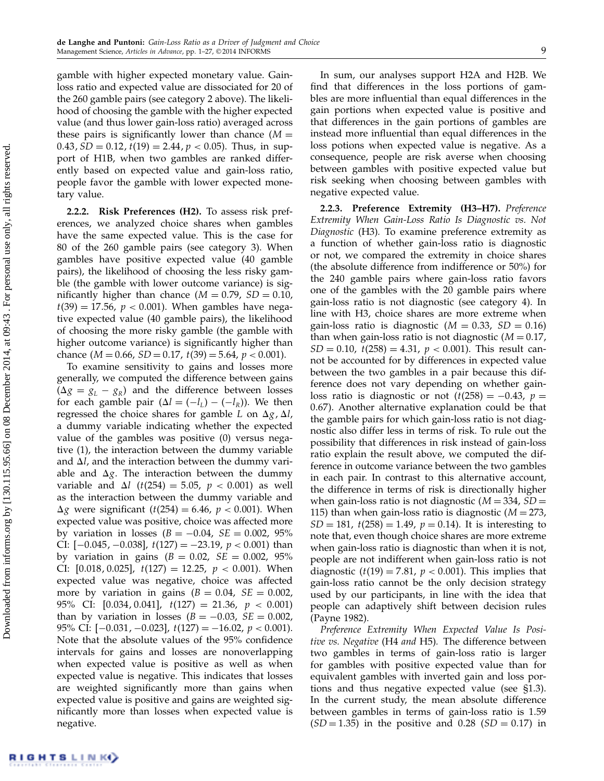gamble with higher expected monetary value. Gainloss ratio and expected value are dissociated for 20 of the 260 gamble pairs (see category 2 above). The likelihood of choosing the gamble with the higher expected value (and thus lower gain-loss ratio) averaged across these pairs is significantly lower than chance  $(M =$ 0.43,  $SD = 0.12$ ,  $t(19) = 2.44$ ,  $p < 0.05$ ). Thus, in support of H1B, when two gambles are ranked differently based on expected value and gain-loss ratio, people favor the gamble with lower expected monetary value.

2.2.2. Risk Preferences (H2). To assess risk preferences, we analyzed choice shares when gambles have the same expected value. This is the case for 80 of the 260 gamble pairs (see category 3). When gambles have positive expected value (40 gamble pairs), the likelihood of choosing the less risky gamble (the gamble with lower outcome variance) is significantly higher than chance ( $M = 0.79$ ,  $SD = 0.10$ ,  $t(39) = 17.56$ ,  $p < 0.001$ ). When gambles have negative expected value (40 gamble pairs), the likelihood of choosing the more risky gamble (the gamble with higher outcome variance) is significantly higher than chance  $(M = 0.66, SD = 0.17, t(39) = 5.64, p < 0.001$ ).

To examine sensitivity to gains and losses more generally, we computed the difference between gains  $(\Delta g = g_L - g_R)$  and the difference between losses for each gamble pair  $(\Delta l = (-l_L) - (-l_R))$ . We then regressed the choice shares for gamble L on  $\Delta g$ ,  $\Delta l$ , a dummy variable indicating whether the expected value of the gambles was positive (0) versus negative (1), the interaction between the dummy variable and  $\Delta l$ , and the interaction between the dummy variable and  $\Delta g$ . The interaction between the dummy variable and  $\Delta l$  (t(254) = 5.05, p < 0.001) as well as the interaction between the dummy variable and  $\Delta g$  were significant (t(254) = 6.46, p < 0.001). When expected value was positive, choice was affected more by variation in losses  $(B = -0.04, SE = 0.002, 95\%$ CI:  $[-0.045, -0.038]$ ,  $t(127) = -23.19$ ,  $p < 0.001$ ) than by variation in gains ( $B = 0.02$ ,  $SE = 0.002$ ,  $95\%$ CI:  $[0.018, 0.025]$ ,  $t(127) = 12.25$ ,  $p < 0.001$ ). When expected value was negative, choice was affected more by variation in gains  $(B = 0.04, SE = 0.002,$ 95% CI:  $[0.034, 0.041]$ ,  $t(127) = 21.36$ ,  $p < 0.001$ ) than by variation in losses ( $B = -0.03$ ,  $SE = 0.002$ , 95% CI:  $[-0.031, -0.023]$ ,  $t(127) = -16.02$ ,  $p < 0.001$ ). Note that the absolute values of the 95% confidence intervals for gains and losses are nonoverlapping when expected value is positive as well as when expected value is negative. This indicates that losses are weighted significantly more than gains when expected value is positive and gains are weighted significantly more than losses when expected value is negative.

In sum, our analyses support H2A and H2B. We find that differences in the loss portions of gambles are more influential than equal differences in the gain portions when expected value is positive and that differences in the gain portions of gambles are instead more influential than equal differences in the loss potions when expected value is negative. As a consequence, people are risk averse when choosing between gambles with positive expected value but risk seeking when choosing between gambles with negative expected value.

2.2.3. Preference Extremity (H3–H7). Preference Extremity When Gain-Loss Ratio Is Diagnostic vs. Not Diagnostic (H3). To examine preference extremity as a function of whether gain-loss ratio is diagnostic or not, we compared the extremity in choice shares (the absolute difference from indifference or 50%) for the 240 gamble pairs where gain-loss ratio favors one of the gambles with the 20 gamble pairs where gain-loss ratio is not diagnostic (see category 4). In line with H3, choice shares are more extreme when gain-loss ratio is diagnostic ( $M = 0.33$ ,  $SD = 0.16$ ) than when gain-loss ratio is not diagnostic  $(M = 0.17)$ ,  $SD = 0.10$ ,  $t(258) = 4.31$ ,  $p < 0.001$ ). This result cannot be accounted for by differences in expected value between the two gambles in a pair because this difference does not vary depending on whether gainloss ratio is diagnostic or not  $(t(258) = -0.43, p =$ 0.67). Another alternative explanation could be that the gamble pairs for which gain-loss ratio is not diagnostic also differ less in terms of risk. To rule out the possibility that differences in risk instead of gain-loss ratio explain the result above, we computed the difference in outcome variance between the two gambles in each pair. In contrast to this alternative account, the difference in terms of risk is directionally higher when gain-loss ratio is not diagnostic  $(M = 334, SD =$ 115) than when gain-loss ratio is diagnostic  $(M = 273,$  $SD = 181$ ,  $t(258) = 1.49$ ,  $p = 0.14$ ). It is interesting to note that, even though choice shares are more extreme when gain-loss ratio is diagnostic than when it is not, people are not indifferent when gain-loss ratio is not diagnostic ( $t(19) = 7.81$ ,  $p < 0.001$ ). This implies that gain-loss ratio cannot be the only decision strategy used by our participants, in line with the idea that people can adaptively shift between decision rules (Payne 1982).

Preference Extremity When Expected Value Is Positive vs. Negative (H4 and H5). The difference between two gambles in terms of gain-loss ratio is larger for gambles with positive expected value than for equivalent gambles with inverted gain and loss portions and thus negative expected value (see §1.3). In the current study, the mean absolute difference between gambles in terms of gain-loss ratio is 1.59  $(SD = 1.35)$  in the positive and 0.28  $(SD = 0.17)$  in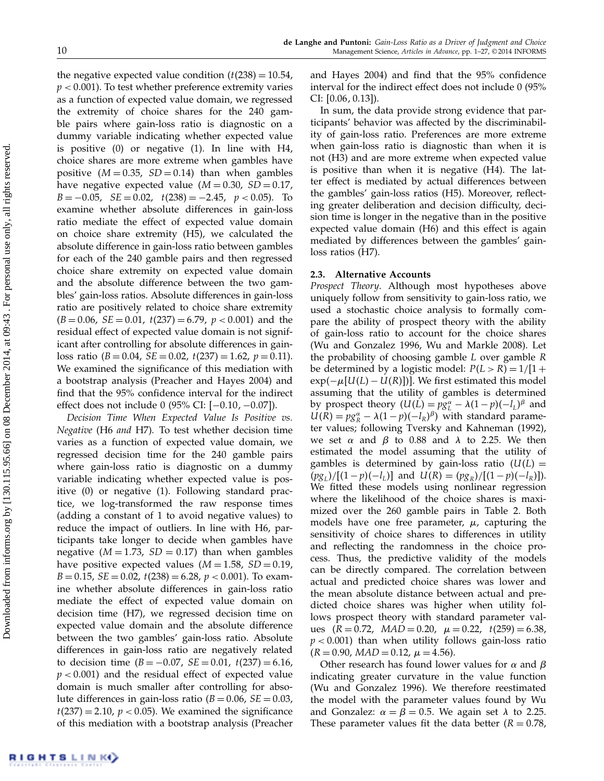the negative expected value condition  $(t(238) = 10.54$ ,  $p < 0.001$ ). To test whether preference extremity varies as a function of expected value domain, we regressed the extremity of choice shares for the 240 gamble pairs where gain-loss ratio is diagnostic on a dummy variable indicating whether expected value is positive (0) or negative (1). In line with H4, choice shares are more extreme when gambles have positive  $(M = 0.35, SD = 0.14)$  than when gambles have negative expected value  $(M = 0.30, SD = 0.17,$  $B = -0.05$ ,  $SE = 0.02$ ,  $t(238) = -2.45$ ,  $p < 0.05$ ). To examine whether absolute differences in gain-loss ratio mediate the effect of expected value domain on choice share extremity (H5), we calculated the absolute difference in gain-loss ratio between gambles for each of the 240 gamble pairs and then regressed choice share extremity on expected value domain and the absolute difference between the two gambles' gain-loss ratios. Absolute differences in gain-loss ratio are positively related to choice share extremity  $(B = 0.06, SE = 0.01, t(237) = 6.79, p < 0.001)$  and the residual effect of expected value domain is not significant after controlling for absolute differences in gainloss ratio ( $B = 0.04$ ,  $SE = 0.02$ ,  $t(237) = 1.62$ ,  $p = 0.11$ ). We examined the significance of this mediation with a bootstrap analysis (Preacher and Hayes 2004) and find that the 95% confidence interval for the indirect effect does not include 0 (95% CI: [-0.10, -0.07]).

Decision Time When Expected Value Is Positive vs. Negative (H6 and H7). To test whether decision time varies as a function of expected value domain, we regressed decision time for the 240 gamble pairs where gain-loss ratio is diagnostic on a dummy variable indicating whether expected value is positive (0) or negative (1). Following standard practice, we log-transformed the raw response times (adding a constant of 1 to avoid negative values) to reduce the impact of outliers. In line with H6, participants take longer to decide when gambles have negative ( $M = 1.73$ ,  $SD = 0.17$ ) than when gambles have positive expected values  $(M = 1.58, SD = 0.19,$  $B = 0.15$ ,  $SE = 0.02$ ,  $t(238) = 6.28$ ,  $p < 0.001$ ). To examine whether absolute differences in gain-loss ratio mediate the effect of expected value domain on decision time (H7), we regressed decision time on expected value domain and the absolute difference between the two gambles' gain-loss ratio. Absolute differences in gain-loss ratio are negatively related to decision time  $(B = -0.07, SE = 0.01, t(237) = 6.16,$  $p < 0.001$ ) and the residual effect of expected value domain is much smaller after controlling for absolute differences in gain-loss ratio ( $B = 0.06$ ,  $SE = 0.03$ ,  $t(237) = 2.10$ ,  $p < 0.05$ ). We examined the significance of this mediation with a bootstrap analysis (Preacher and Hayes 2004) and find that the 95% confidence interval for the indirect effect does not include 0 (95%  $CI: [0.06, 0.13]$ .

In sum, the data provide strong evidence that participants' behavior was affected by the discriminability of gain-loss ratio. Preferences are more extreme when gain-loss ratio is diagnostic than when it is not (H3) and are more extreme when expected value is positive than when it is negative (H4). The latter effect is mediated by actual differences between the gambles' gain-loss ratios (H5). Moreover, reflecting greater deliberation and decision difficulty, decision time is longer in the negative than in the positive expected value domain (H6) and this effect is again mediated by differences between the gambles' gainloss ratios (H7).

## 2.3. Alternative Accounts

Prospect Theory. Although most hypotheses above uniquely follow from sensitivity to gain-loss ratio, we used a stochastic choice analysis to formally compare the ability of prospect theory with the ability of gain-loss ratio to account for the choice shares (Wu and Gonzalez 1996, Wu and Markle 2008). Let the probability of choosing gamble L over gamble R be determined by a logistic model:  $P(L > R) = 1/[1 +$  $exp(-\mu[U(L)-U(R)])$ . We first estimated this model assuming that the utility of gambles is determined by prospect theory  $(U(L) = pg_L^{\alpha} - \lambda(1-p)(-l_L)^{\beta}$  and  $U(R) = pg_R^{\alpha} - \lambda(1-p)(-l_R)^{\beta}$  with standard parameter values; following Tversky and Kahneman (1992), we set  $\alpha$  and  $\beta$  to 0.88 and  $\lambda$  to 2.25. We then estimated the model assuming that the utility of gambles is determined by gain-loss ratio  $(U(L))$  =  $(pg_L)/[(1-p)(-l_L)]$  and  $U(R) = (pg_R)/[(1-p)(-l_R)]$ . We fitted these models using nonlinear regression where the likelihood of the choice shares is maximized over the 260 gamble pairs in Table 2. Both models have one free parameter,  $\mu$ , capturing the sensitivity of choice shares to differences in utility and reflecting the randomness in the choice process. Thus, the predictive validity of the models can be directly compared. The correlation between actual and predicted choice shares was lower and the mean absolute distance between actual and predicted choice shares was higher when utility follows prospect theory with standard parameter values  $(R = 0.72, MAD = 0.20, \mu = 0.22, t(259) = 6.38,$  $p < 0.001$ ) than when utility follows gain-loss ratio  $(R = 0.90, MAD = 0.12, \mu = 4.56).$ 

Other research has found lower values for  $\alpha$  and  $\beta$ indicating greater curvature in the value function (Wu and Gonzalez 1996). We therefore reestimated the model with the parameter values found by Wu and Gonzalez:  $\alpha = \beta = 0.5$ . We again set  $\lambda$  to 2.25. These parameter values fit the data better ( $R = 0.78$ ,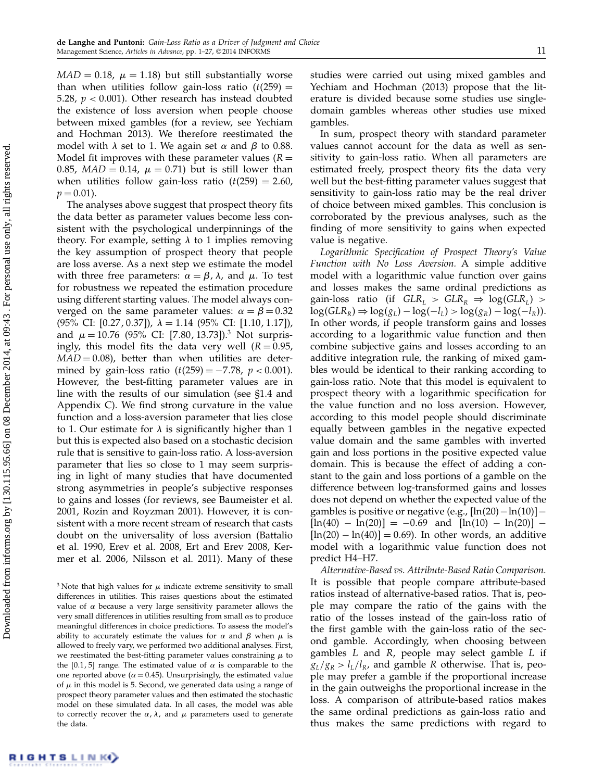$MAD = 0.18$ ,  $\mu = 1.18$ ) but still substantially worse than when utilities follow gain-loss ratio  $(t(259) =$ 5.28,  $p < 0.001$ ). Other research has instead doubted the existence of loss aversion when people choose between mixed gambles (for a review, see Yechiam and Hochman 2013). We therefore reestimated the model with  $\lambda$  set to 1. We again set  $\alpha$  and  $\beta$  to 0.88. Model fit improves with these parameter values ( $R =$ 0.85,  $MAD = 0.14$ ,  $\mu = 0.71$ ) but is still lower than when utilities follow gain-loss ratio  $(t(259) = 2.60)$ ,  $p = 0.01$ ).

The analyses above suggest that prospect theory fits the data better as parameter values become less consistent with the psychological underpinnings of the theory. For example, setting  $\lambda$  to 1 implies removing the key assumption of prospect theory that people are loss averse. As a next step we estimate the model with three free parameters:  $\alpha = \beta$ ,  $\lambda$ , and  $\mu$ . To test for robustness we repeated the estimation procedure using different starting values. The model always converged on the same parameter values:  $\alpha = \beta = 0.32$  $(95\% \text{ CI: } [0.27, 0.37])$ ,  $\lambda = 1.14$   $(95\% \text{ CI: } [1.10, 1.17])$ , and  $\mu = 10.76$  (95% CI: [7.80, 13.73]).<sup>3</sup> Not surprisingly, this model fits the data very well  $(R = 0.95)$ ,  $MAD = 0.08$ ), better than when utilities are determined by gain-loss ratio  $(t(259) = -7.78, p < 0.001)$ . However, the best-fitting parameter values are in line with the results of our simulation (see §1.4 and Appendix C). We find strong curvature in the value function and a loss-aversion parameter that lies close to 1. Our estimate for  $\lambda$  is significantly higher than 1 but this is expected also based on a stochastic decision rule that is sensitive to gain-loss ratio. A loss-aversion parameter that lies so close to 1 may seem surprising in light of many studies that have documented strong asymmetries in people's subjective responses to gains and losses (for reviews, see Baumeister et al. 2001, Rozin and Royzman 2001). However, it is consistent with a more recent stream of research that casts doubt on the universality of loss aversion (Battalio et al. 1990, Erev et al. 2008, Ert and Erev 2008, Kermer et al. 2006, Nilsson et al. 2011). Many of these studies were carried out using mixed gambles and Yechiam and Hochman (2013) propose that the literature is divided because some studies use singledomain gambles whereas other studies use mixed gambles.

In sum, prospect theory with standard parameter values cannot account for the data as well as sensitivity to gain-loss ratio. When all parameters are estimated freely, prospect theory fits the data very well but the best-fitting parameter values suggest that sensitivity to gain-loss ratio may be the real driver of choice between mixed gambles. This conclusion is corroborated by the previous analyses, such as the finding of more sensitivity to gains when expected value is negative.

Logarithmic Specification of Prospect Theory's Value Function with No Loss Aversion. A simple additive model with a logarithmic value function over gains and losses makes the same ordinal predictions as gain-loss ratio (if  $GLR_L > GLR_R \Rightarrow \log(GLR_L) >$  $log(GLR_R) \Rightarrow log(g_L) - log(-l_L) > log(g_R) - log(-l_R)).$ In other words, if people transform gains and losses according to a logarithmic value function and then combine subjective gains and losses according to an additive integration rule, the ranking of mixed gambles would be identical to their ranking according to gain-loss ratio. Note that this model is equivalent to prospect theory with a logarithmic specification for the value function and no loss aversion. However, according to this model people should discriminate equally between gambles in the negative expected value domain and the same gambles with inverted gain and loss portions in the positive expected value domain. This is because the effect of adding a constant to the gain and loss portions of a gamble on the difference between log-transformed gains and losses does not depend on whether the expected value of the gambles is positive or negative (e.g.,  $[\ln(20)-\ln(10)]$ −  $[\ln(40) - \ln(20)] = -0.69$  and  $[\ln(10) - \ln(20)]$  −  $[\ln(20) - \ln(40)] = 0.69$ . In other words, an additive model with a logarithmic value function does not predict H4–H7.

Alternative-Based vs. Attribute-Based Ratio Comparison. It is possible that people compare attribute-based ratios instead of alternative-based ratios. That is, people may compare the ratio of the gains with the ratio of the losses instead of the gain-loss ratio of the first gamble with the gain-loss ratio of the second gamble. Accordingly, when choosing between gambles  $L$  and  $R$ , people may select gamble  $L$  if  $g_L/g_R > l_L/l_R$ , and gamble R otherwise. That is, people may prefer a gamble if the proportional increase in the gain outweighs the proportional increase in the loss. A comparison of attribute-based ratios makes the same ordinal predictions as gain-loss ratio and thus makes the same predictions with regard to

RIGHTS LINK()

<sup>&</sup>lt;sup>3</sup> Note that high values for  $\mu$  indicate extreme sensitivity to small differences in utilities. This raises questions about the estimated value of  $\alpha$  because a very large sensitivity parameter allows the very small differences in utilities resulting from small  $\alpha$ s to produce meaningful differences in choice predictions. To assess the model's ability to accurately estimate the values for  $\alpha$  and  $\beta$  when  $\mu$  is allowed to freely vary, we performed two additional analyses. First, we reestimated the best-fitting parameter values constraining  $\mu$  to the [0.1, 5] range. The estimated value of  $\alpha$  is comparable to the one reported above ( $\alpha$  = 0.45). Unsurprisingly, the estimated value of  $\mu$  in this model is 5. Second, we generated data using a range of prospect theory parameter values and then estimated the stochastic model on these simulated data. In all cases, the model was able to correctly recover the  $\alpha$ ,  $\lambda$ , and  $\mu$  parameters used to generate the data.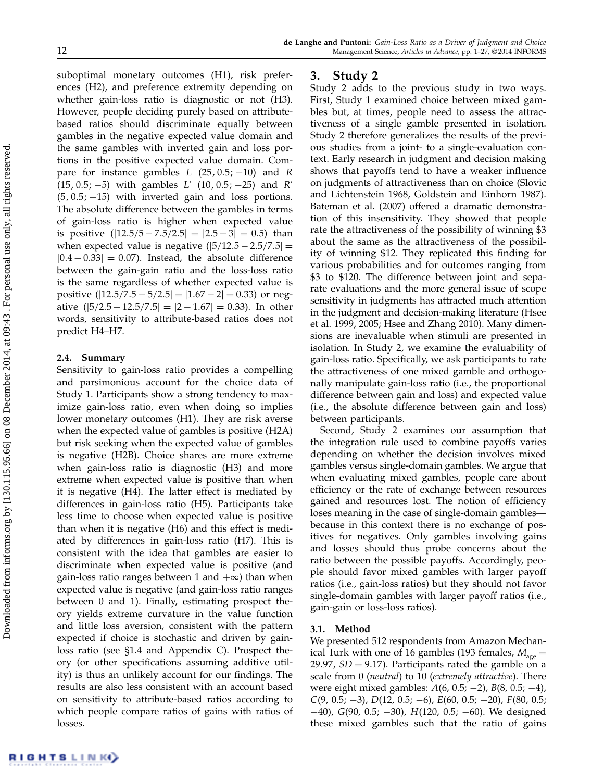suboptimal monetary outcomes (H1), risk preferences (H2), and preference extremity depending on whether gain-loss ratio is diagnostic or not (H3). However, people deciding purely based on attributebased ratios should discriminate equally between gambles in the negative expected value domain and the same gambles with inverted gain and loss portions in the positive expected value domain. Compare for instance gambles  $L$  (25, 0.5; -10) and R  $(15, 0.5; -5)$  with gambles L'  $(10, 0.5; -25)$  and R'  $(5, 0.5, -15)$  with inverted gain and loss portions. The absolute difference between the gambles in terms of gain-loss ratio is higher when expected value is positive  $(|12.5/5 - 7.5/2.5| = |2.5 - 3| = 0.5)$  than when expected value is negative  $(|5/12.5 - 2.5/7.5| =$  $|0.4 - 0.33| = 0.07$ ). Instead, the absolute difference between the gain-gain ratio and the loss-loss ratio is the same regardless of whether expected value is positive  $(|12.5/7.5 - 5/2.5| = |1.67 - 2| = 0.33$  or negative  $(|5/2.5 - 12.5/7.5| = |2 - 1.67| = 0.33$ ). In other words, sensitivity to attribute-based ratios does not predict H4–H7.

## 2.4. Summary

Sensitivity to gain-loss ratio provides a compelling and parsimonious account for the choice data of Study 1. Participants show a strong tendency to maximize gain-loss ratio, even when doing so implies lower monetary outcomes (H1). They are risk averse when the expected value of gambles is positive (H2A) but risk seeking when the expected value of gambles is negative (H2B). Choice shares are more extreme when gain-loss ratio is diagnostic (H3) and more extreme when expected value is positive than when it is negative (H4). The latter effect is mediated by differences in gain-loss ratio (H5). Participants take less time to choose when expected value is positive than when it is negative (H6) and this effect is mediated by differences in gain-loss ratio (H7). This is consistent with the idea that gambles are easier to discriminate when expected value is positive (and gain-loss ratio ranges between 1 and  $+\infty$ ) than when expected value is negative (and gain-loss ratio ranges between 0 and 1). Finally, estimating prospect theory yields extreme curvature in the value function and little loss aversion, consistent with the pattern expected if choice is stochastic and driven by gainloss ratio (see §1.4 and Appendix C). Prospect theory (or other specifications assuming additive utility) is thus an unlikely account for our findings. The results are also less consistent with an account based on sensitivity to attribute-based ratios according to which people compare ratios of gains with ratios of losses.

## 3. Study 2

Study 2 adds to the previous study in two ways. First, Study 1 examined choice between mixed gambles but, at times, people need to assess the attractiveness of a single gamble presented in isolation. Study 2 therefore generalizes the results of the previous studies from a joint- to a single-evaluation context. Early research in judgment and decision making shows that payoffs tend to have a weaker influence on judgments of attractiveness than on choice (Slovic and Lichtenstein 1968, Goldstein and Einhorn 1987). Bateman et al. (2007) offered a dramatic demonstration of this insensitivity. They showed that people rate the attractiveness of the possibility of winning \$3 about the same as the attractiveness of the possibility of winning \$12. They replicated this finding for various probabilities and for outcomes ranging from \$3 to \$120. The difference between joint and separate evaluations and the more general issue of scope sensitivity in judgments has attracted much attention in the judgment and decision-making literature (Hsee et al. 1999, 2005; Hsee and Zhang 2010). Many dimensions are inevaluable when stimuli are presented in isolation. In Study 2, we examine the evaluability of gain-loss ratio. Specifically, we ask participants to rate the attractiveness of one mixed gamble and orthogonally manipulate gain-loss ratio (i.e., the proportional difference between gain and loss) and expected value (i.e., the absolute difference between gain and loss) between participants.

Second, Study 2 examines our assumption that the integration rule used to combine payoffs varies depending on whether the decision involves mixed gambles versus single-domain gambles. We argue that when evaluating mixed gambles, people care about efficiency or the rate of exchange between resources gained and resources lost. The notion of efficiency loses meaning in the case of single-domain gambles because in this context there is no exchange of positives for negatives. Only gambles involving gains and losses should thus probe concerns about the ratio between the possible payoffs. Accordingly, people should favor mixed gambles with larger payoff ratios (i.e., gain-loss ratios) but they should not favor single-domain gambles with larger payoff ratios (i.e., gain-gain or loss-loss ratios).

## 3.1. Method

We presented 512 respondents from Amazon Mechanical Turk with one of 16 gambles (193 females,  $M_{\text{age}} =$ 29.97,  $SD = 9.17$ ). Participants rated the gamble on a scale from 0 (neutral) to 10 (extremely attractive). There were eight mixed gambles: A(6, 0.5; −2), B(8, 0.5; −4),  $C(9, 0.5; -3)$ ,  $D(12, 0.5; -6)$ ,  $E(60, 0.5; -20)$ ,  $F(80, 0.5;$ −40), G(90, 0.5; −30), H(120, 0.5; −60). We designed these mixed gambles such that the ratio of gains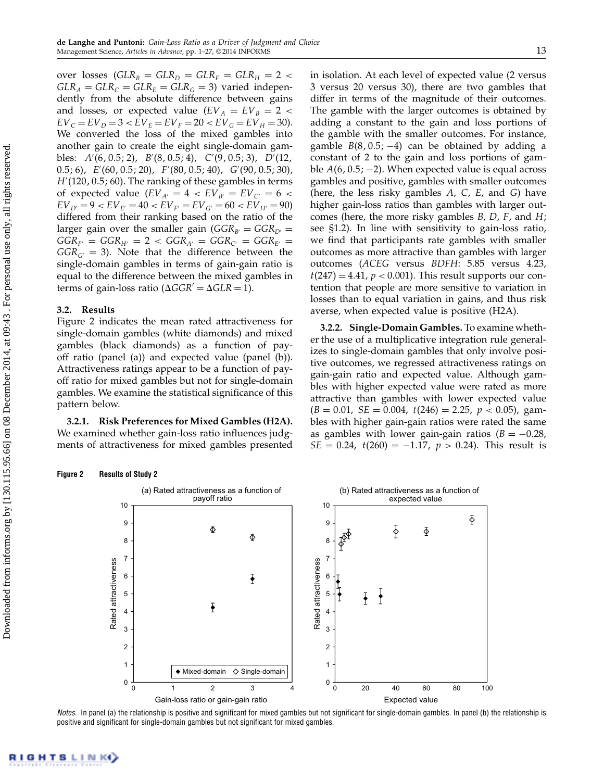over losses ( $GLR_B = GLR_D = GLR_F = GLR_H = 2$  <  $GLR_A = GLR_C = GLR_E = GLR_G = 3)$  varied independently from the absolute difference between gains and losses, or expected value  $(EV_A = EV_B = 2$  <  $EV_C = EV_D = 3 < EV_E = EV_F = 20 < EV_G = EV_H = 30$ . We converted the loss of the mixed gambles into another gain to create the eight single-domain gambles:  $A'(6, 0.5; 2), B'(8, 0.5; 4), C'(9, 0.5; 3), D'(12,$  $(0.5, 6)$ ,  $E'(60, 0.5, 20)$ ,  $F'(80, 0.5, 40)$ ,  $G'(90, 0.5, 30)$ ,  $H'(120, 0.5; 60)$ . The ranking of these gambles in terms of expected value  $(EV_{A'} = 4 < EV_{B'} = EV_{C'} = 6 <$  $EV_{D'} = 9 < EV_{E'} = 40 < EV_{F'} = EV_{G'} = 60 < EV_{H'} = 90$ ) differed from their ranking based on the ratio of the larger gain over the smaller gain ( $GGR_{B'}=GGR_{D'}=$  $GGR_{F'} = GGR_{H'} = 2 < GGR_{A'} = GGR_{C'} = GGR_{E'} =$  $GGR_{G'} = 3$ ). Note that the difference between the single-domain gambles in terms of gain-gain ratio is equal to the difference between the mixed gambles in terms of gain-loss ratio ( $\Delta GGR = \Delta GLR = 1$ ).

## 3.2. Results

Figure 2 indicates the mean rated attractiveness for single-domain gambles (white diamonds) and mixed gambles (black diamonds) as a function of payoff ratio (panel (a)) and expected value (panel (b)). Attractiveness ratings appear to be a function of payoff ratio for mixed gambles but not for single-domain gambles. We examine the statistical significance of this pattern below.

3.2.1. Risk Preferences for Mixed Gambles (H2A). We examined whether gain-loss ratio influences judgments of attractiveness for mixed gambles presented in isolation. At each level of expected value (2 versus 3 versus 20 versus 30), there are two gambles that differ in terms of the magnitude of their outcomes. The gamble with the larger outcomes is obtained by adding a constant to the gain and loss portions of the gamble with the smaller outcomes. For instance, gamble  $B(8, 0.5, -4)$  can be obtained by adding a constant of 2 to the gain and loss portions of gamble  $A(6, 0.5; -2)$ . When expected value is equal across gambles and positive, gambles with smaller outcomes (here, the less risky gambles  $A$ ,  $C$ ,  $E$ , and  $G$ ) have higher gain-loss ratios than gambles with larger outcomes (here, the more risky gambles  $B$ ,  $D$ ,  $F$ , and  $H$ ; see §1.2). In line with sensitivity to gain-loss ratio, we find that participants rate gambles with smaller outcomes as more attractive than gambles with larger outcomes (ACEG versus BDFH: 5.85 versus 4.23,  $t(247) = 4.41$ ,  $p < 0.001$ ). This result supports our contention that people are more sensitive to variation in losses than to equal variation in gains, and thus risk averse, when expected value is positive (H2A).

3.2.2. Single-Domain Gambles. To examine whether the use of a multiplicative integration rule generalizes to single-domain gambles that only involve positive outcomes, we regressed attractiveness ratings on gain-gain ratio and expected value. Although gambles with higher expected value were rated as more attractive than gambles with lower expected value  $(B = 0.01, \, SE = 0.004, \, t(246) = 2.25, \, p < 0.05), \, \text{gam-}$ bles with higher gain-gain ratios were rated the same as gambles with lower gain-gain ratios ( $B = -0.28$ ,  $SE = 0.24$ ,  $t(260) = -1.17$ ,  $p > 0.24$ ). This result is

#### Figure 2 Results of Study 2



Notes. In panel (a) the relationship is positive and significant for mixed gambles but not significant for single-domain gambles. In panel (b) the relationship is positive and significant for single-domain gambles but not significant for mixed gambles.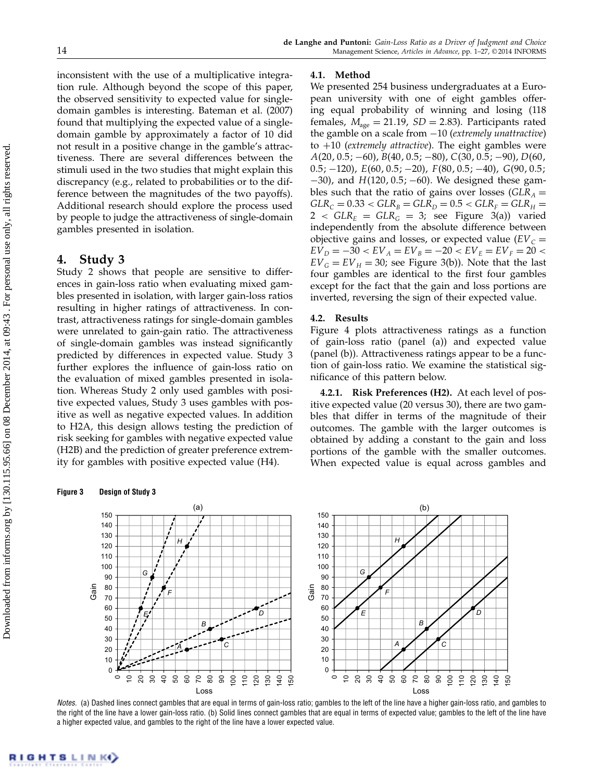inconsistent with the use of a multiplicative integration rule. Although beyond the scope of this paper, the observed sensitivity to expected value for singledomain gambles is interesting. Bateman et al. (2007) found that multiplying the expected value of a singledomain gamble by approximately a factor of 10 did not result in a positive change in the gamble's attractiveness. There are several differences between the stimuli used in the two studies that might explain this discrepancy (e.g., related to probabilities or to the difference between the magnitudes of the two payoffs). Additional research should explore the process used by people to judge the attractiveness of single-domain gambles presented in isolation.

## 4. Study 3

Study 2 shows that people are sensitive to differences in gain-loss ratio when evaluating mixed gambles presented in isolation, with larger gain-loss ratios resulting in higher ratings of attractiveness. In contrast, attractiveness ratings for single-domain gambles were unrelated to gain-gain ratio. The attractiveness of single-domain gambles was instead significantly predicted by differences in expected value. Study 3 further explores the influence of gain-loss ratio on the evaluation of mixed gambles presented in isolation. Whereas Study 2 only used gambles with positive expected values, Study 3 uses gambles with positive as well as negative expected values. In addition to H2A, this design allows testing the prediction of risk seeking for gambles with negative expected value (H2B) and the prediction of greater preference extremity for gambles with positive expected value (H4).

#### Figure 3 Design of Study 3

## 4.1. Method

We presented 254 business undergraduates at a European university with one of eight gambles offering equal probability of winning and losing (118 females,  $M_{\text{age}} = 21.19$ ,  $SD = 2.83$ ). Participants rated the gamble on a scale from −10 (extremely unattractive) to  $+10$  (extremely attractive). The eight gambles were  $A(20, 0.5; -60), B(40, 0.5; -80), C(30, 0.5; -90), D(60,$  $(0.5, -120)$ ,  $E(60, 0.5, -20)$ ,  $F(80, 0.5, -40)$ ,  $G(90, 0.5,$  $-30$ , and  $H(120, 0.5, -60)$ . We designed these gambles such that the ratio of gains over losses ( $GLR<sub>A</sub>$  =  $GLR_C = 0.33 < GLR_B = GLR_D = 0.5 < GLR_F = GLR_H =$  $2 < GLR_E = GLR_G = 3$ ; see Figure 3(a)) varied independently from the absolute difference between objective gains and losses, or expected value  $(EV_C =$  $EV_D = -30 < EV_A = EV_B = -20 < EV_E = EV_F = 20 <$  $EV_G = EV_H = 30$ ; see Figure 3(b)). Note that the last four gambles are identical to the first four gambles except for the fact that the gain and loss portions are inverted, reversing the sign of their expected value.

#### 4.2. Results

Figure 4 plots attractiveness ratings as a function of gain-loss ratio (panel (a)) and expected value (panel (b)). Attractiveness ratings appear to be a function of gain-loss ratio. We examine the statistical significance of this pattern below.

4.2.1. Risk Preferences (H2). At each level of positive expected value (20 versus 30), there are two gambles that differ in terms of the magnitude of their outcomes. The gamble with the larger outcomes is obtained by adding a constant to the gain and loss portions of the gamble with the smaller outcomes. When expected value is equal across gambles and



Notes. (a) Dashed lines connect gambles that are equal in terms of gain-loss ratio; gambles to the left of the line have a higher gain-loss ratio, and gambles to the right of the line have a lower gain-loss ratio. (b) Solid lines connect gambles that are equal in terms of expected value; gambles to the left of the line have a higher expected value, and gambles to the right of the line have a lower expected value.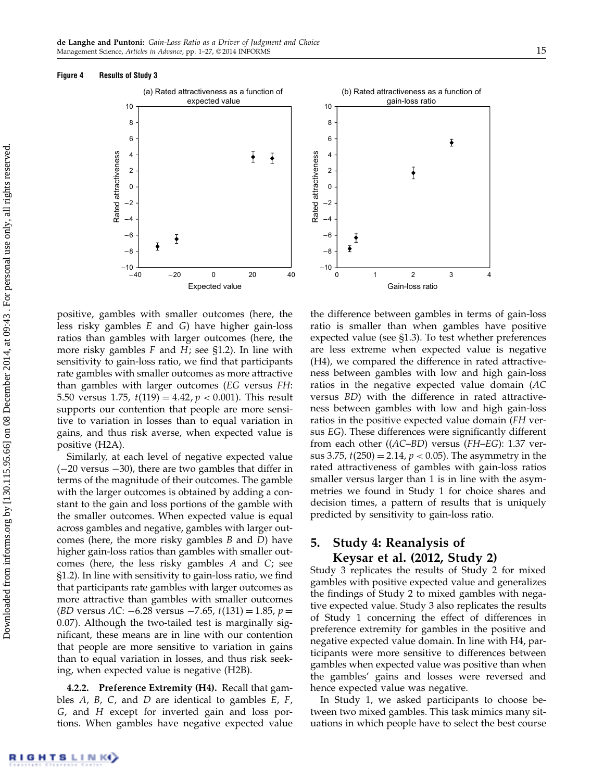#### Figure 4 Results of Study 3

Rated attractiveness

Rated attractiveness



positive, gambles with smaller outcomes (here, the less risky gambles E and G) have higher gain-loss ratios than gambles with larger outcomes (here, the more risky gambles  $F$  and  $H$ ; see §1.2). In line with sensitivity to gain-loss ratio, we find that participants rate gambles with smaller outcomes as more attractive than gambles with larger outcomes (EG versus FH: 5.50 versus 1.75,  $t(119) = 4.42$ ,  $p < 0.001$ ). This result supports our contention that people are more sensitive to variation in losses than to equal variation in gains, and thus risk averse, when expected value is positive (H2A).

Similarly, at each level of negative expected value (−20 versus −30), there are two gambles that differ in terms of the magnitude of their outcomes. The gamble with the larger outcomes is obtained by adding a constant to the gain and loss portions of the gamble with the smaller outcomes. When expected value is equal across gambles and negative, gambles with larger outcomes (here, the more risky gambles  $B$  and  $D$ ) have higher gain-loss ratios than gambles with smaller outcomes (here, the less risky gambles A and C; see §1.2). In line with sensitivity to gain-loss ratio, we find that participants rate gambles with larger outcomes as more attractive than gambles with smaller outcomes (BD versus AC:  $-6.28$  versus  $-7.65$ ,  $t(131) = 1.85$ ,  $p =$ 0.07). Although the two-tailed test is marginally significant, these means are in line with our contention that people are more sensitive to variation in gains than to equal variation in losses, and thus risk seeking, when expected value is negative (H2B).

4.2.2. Preference Extremity (H4). Recall that gambles  $A$ ,  $B$ ,  $C$ , and  $D$  are identical to gambles  $E$ ,  $F$ , G, and H except for inverted gain and loss portions. When gambles have negative expected value the difference between gambles in terms of gain-loss ratio is smaller than when gambles have positive expected value (see §1.3). To test whether preferences are less extreme when expected value is negative (H4), we compared the difference in rated attractiveness between gambles with low and high gain-loss ratios in the negative expected value domain (AC versus BD) with the difference in rated attractiveness between gambles with low and high gain-loss ratios in the positive expected value domain (FH versus EG). These differences were significantly different from each other ((AC–BD) versus (FH–EG): 1.37 versus 3.75,  $t(250) = 2.14$ ,  $p < 0.05$ ). The asymmetry in the rated attractiveness of gambles with gain-loss ratios smaller versus larger than 1 is in line with the asymmetries we found in Study 1 for choice shares and decision times, a pattern of results that is uniquely predicted by sensitivity to gain-loss ratio.

## 5. Study 4: Reanalysis of Keysar et al. (2012, Study 2)

Study 3 replicates the results of Study 2 for mixed gambles with positive expected value and generalizes the findings of Study 2 to mixed gambles with negative expected value. Study 3 also replicates the results of Study 1 concerning the effect of differences in preference extremity for gambles in the positive and negative expected value domain. In line with H4, participants were more sensitive to differences between gambles when expected value was positive than when the gambles' gains and losses were reversed and hence expected value was negative.

In Study 1, we asked participants to choose between two mixed gambles. This task mimics many situations in which people have to select the best course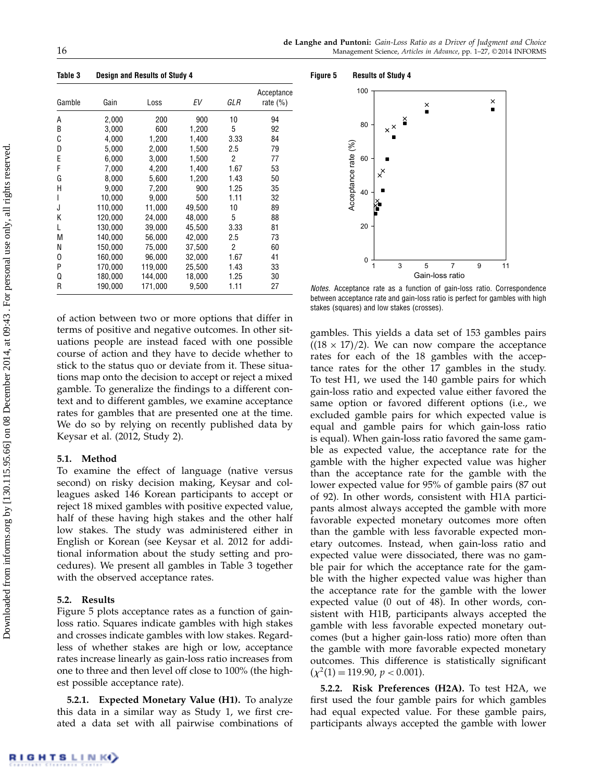Figure 5 Results of Study 4

| Gamble | Gain    | Loss    | ΕV     | GLR  | Acceptance<br>rate $(\%)$ |
|--------|---------|---------|--------|------|---------------------------|
| Α      | 2,000   | 200     | 900    | 10   | 94                        |
| B      | 3,000   | 600     | 1,200  | 5    | 92                        |
| C      | 4,000   | 1,200   | 1,400  | 3.33 | 84                        |
| D      | 5,000   | 2,000   | 1,500  | 2.5  | 79                        |
| E      | 6,000   | 3,000   | 1,500  | 2    | 77                        |
| F      | 7,000   | 4,200   | 1,400  | 1.67 | 53                        |
| G      | 8,000   | 5,600   | 1,200  | 1.43 | 50                        |
| Н      | 9,000   | 7,200   | 900    | 1.25 | 35                        |
| I      | 10,000  | 9,000   | 500    | 1.11 | 32                        |
| J      | 110,000 | 11,000  | 49,500 | 10   | 89                        |
| Κ      | 120,000 | 24,000  | 48,000 | 5    | 88                        |
| L      | 130,000 | 39,000  | 45,500 | 3.33 | 81                        |
| M      | 140,000 | 56,000  | 42,000 | 2.5  | 73                        |
| N      | 150,000 | 75,000  | 37,500 | 2    | 60                        |
| 0      | 160,000 | 96,000  | 32,000 | 1.67 | 41                        |
| P      | 170,000 | 119,000 | 25,500 | 1.43 | 33                        |
| Q      | 180,000 | 144,000 | 18,000 | 1.25 | 30                        |
| R      | 190,000 | 171,000 | 9,500  | 1.11 | 27                        |
|        |         |         |        |      |                           |

Table 3 Design and Results of Study 4

of action between two or more options that differ in terms of positive and negative outcomes. In other situations people are instead faced with one possible course of action and they have to decide whether to stick to the status quo or deviate from it. These situations map onto the decision to accept or reject a mixed gamble. To generalize the findings to a different context and to different gambles, we examine acceptance rates for gambles that are presented one at the time. We do so by relying on recently published data by Keysar et al. (2012, Study 2).

## 5.1. Method

Downloaded from informs.org by [130.115.95.66] on 08 December 2014, at 09:43 . For personal use only, all rights reserved.

Downloaded from informs.org by [130.115.95.66] on 08 December 2014, at 09:43 . For personal use only, all rights reserved

To examine the effect of language (native versus second) on risky decision making, Keysar and colleagues asked 146 Korean participants to accept or reject 18 mixed gambles with positive expected value, half of these having high stakes and the other half low stakes. The study was administered either in English or Korean (see Keysar et al. 2012 for additional information about the study setting and procedures). We present all gambles in Table 3 together with the observed acceptance rates.

## 5.2. Results

Figure 5 plots acceptance rates as a function of gainloss ratio. Squares indicate gambles with high stakes and crosses indicate gambles with low stakes. Regardless of whether stakes are high or low, acceptance rates increase linearly as gain-loss ratio increases from one to three and then level off close to 100% (the highest possible acceptance rate).

5.2.1. Expected Monetary Value (H1). To analyze this data in a similar way as Study 1, we first created a data set with all pairwise combinations of



Notes. Acceptance rate as a function of gain-loss ratio. Correspondence between acceptance rate and gain-loss ratio is perfect for gambles with high stakes (squares) and low stakes (crosses).

gambles. This yields a data set of 153 gambles pairs  $((18 \times 17)/2)$ . We can now compare the acceptance rates for each of the 18 gambles with the acceptance rates for the other 17 gambles in the study. To test H1, we used the 140 gamble pairs for which gain-loss ratio and expected value either favored the same option or favored different options (i.e., we excluded gamble pairs for which expected value is equal and gamble pairs for which gain-loss ratio is equal). When gain-loss ratio favored the same gamble as expected value, the acceptance rate for the gamble with the higher expected value was higher than the acceptance rate for the gamble with the lower expected value for 95% of gamble pairs (87 out of 92). In other words, consistent with H1A participants almost always accepted the gamble with more favorable expected monetary outcomes more often than the gamble with less favorable expected monetary outcomes. Instead, when gain-loss ratio and expected value were dissociated, there was no gamble pair for which the acceptance rate for the gamble with the higher expected value was higher than the acceptance rate for the gamble with the lower expected value (0 out of 48). In other words, consistent with H1B, participants always accepted the gamble with less favorable expected monetary outcomes (but a higher gain-loss ratio) more often than the gamble with more favorable expected monetary outcomes. This difference is statistically significant  $(\chi^2(1) = 119.90, p < 0.001).$ 

5.2.2. Risk Preferences (H2A). To test H2A, we first used the four gamble pairs for which gambles had equal expected value. For these gamble pairs, participants always accepted the gamble with lower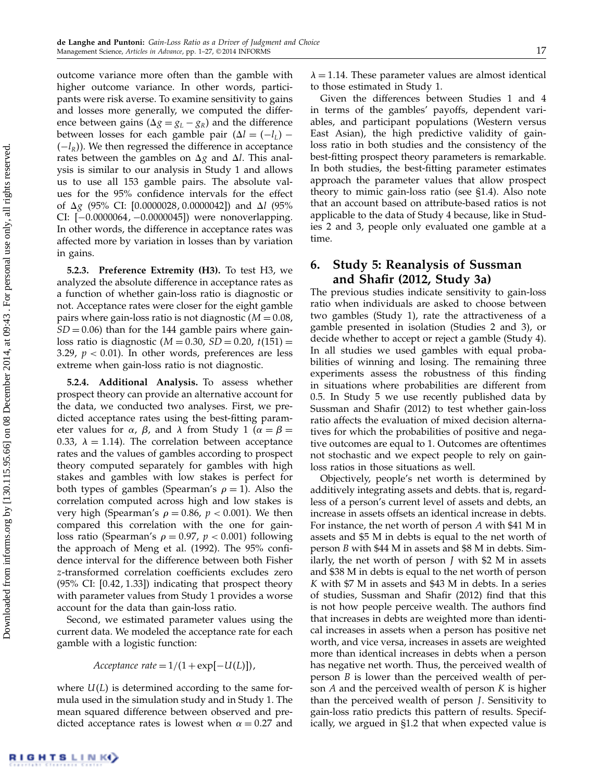outcome variance more often than the gamble with higher outcome variance. In other words, participants were risk averse. To examine sensitivity to gains and losses more generally, we computed the difference between gains ( $\Delta g = g_L - g_R$ ) and the difference between losses for each gamble pair  $(\Delta l = (-l_L) (-l_R)$ ). We then regressed the difference in acceptance rates between the gambles on  $\Delta g$  and  $\Delta l$ . This analysis is similar to our analysis in Study 1 and allows us to use all 153 gamble pairs. The absolute values for the 95% confidence intervals for the effect of  $\Delta g$  (95% CI: [0.0000028, 0.0000042]) and  $\Delta l$  (95% CI: [-0.0000064, -0.0000045]) were nonoverlapping. In other words, the difference in acceptance rates was affected more by variation in losses than by variation in gains.

5.2.3. Preference Extremity (H3). To test H3, we analyzed the absolute difference in acceptance rates as a function of whether gain-loss ratio is diagnostic or not. Acceptance rates were closer for the eight gamble pairs where gain-loss ratio is not diagnostic  $(M = 0.08)$ ,  $SD = 0.06$ ) than for the 144 gamble pairs where gainloss ratio is diagnostic ( $M = 0.30$ ,  $SD = 0.20$ ,  $t(151) =$ 3.29,  $p < 0.01$ ). In other words, preferences are less extreme when gain-loss ratio is not diagnostic.

5.2.4. Additional Analysis. To assess whether prospect theory can provide an alternative account for the data, we conducted two analyses. First, we predicted acceptance rates using the best-fitting parameter values for  $\alpha$ ,  $\beta$ , and  $\lambda$  from Study 1 ( $\alpha = \beta =$ 0.33,  $\lambda = 1.14$ ). The correlation between acceptance rates and the values of gambles according to prospect theory computed separately for gambles with high stakes and gambles with low stakes is perfect for both types of gambles (Spearman's  $\rho = 1$ ). Also the correlation computed across high and low stakes is very high (Spearman's  $\rho = 0.86$ ,  $p < 0.001$ ). We then compared this correlation with the one for gainloss ratio (Spearman's  $\rho = 0.97$ ,  $p < 0.001$ ) following the approach of Meng et al. (1992). The 95% confidence interval for the difference between both Fisher z-transformed correlation coefficients excludes zero  $(95\% \text{ CI: } [0.42, 1.33])$  indicating that prospect theory with parameter values from Study 1 provides a worse account for the data than gain-loss ratio.

Second, we estimated parameter values using the current data. We modeled the acceptance rate for each gamble with a logistic function:

Acceptance rate =  $1/(1 + \exp[-U(L)])$ ,

where  $U(L)$  is determined according to the same formula used in the simulation study and in Study 1. The mean squared difference between observed and predicted acceptance rates is lowest when  $\alpha = 0.27$  and  $\lambda = 1.14$ . These parameter values are almost identical to those estimated in Study 1.

Given the differences between Studies 1 and 4 in terms of the gambles' payoffs, dependent variables, and participant populations (Western versus East Asian), the high predictive validity of gainloss ratio in both studies and the consistency of the best-fitting prospect theory parameters is remarkable. In both studies, the best-fitting parameter estimates approach the parameter values that allow prospect theory to mimic gain-loss ratio (see §1.4). Also note that an account based on attribute-based ratios is not applicable to the data of Study 4 because, like in Studies 2 and 3, people only evaluated one gamble at a time.

## 6. Study 5: Reanalysis of Sussman and Shafir (2012, Study 3a)

The previous studies indicate sensitivity to gain-loss ratio when individuals are asked to choose between two gambles (Study 1), rate the attractiveness of a gamble presented in isolation (Studies 2 and 3), or decide whether to accept or reject a gamble (Study 4). In all studies we used gambles with equal probabilities of winning and losing. The remaining three experiments assess the robustness of this finding in situations where probabilities are different from 0.5. In Study 5 we use recently published data by Sussman and Shafir (2012) to test whether gain-loss ratio affects the evaluation of mixed decision alternatives for which the probabilities of positive and negative outcomes are equal to 1. Outcomes are oftentimes not stochastic and we expect people to rely on gainloss ratios in those situations as well.

Objectively, people's net worth is determined by additively integrating assets and debts. that is, regardless of a person's current level of assets and debts, an increase in assets offsets an identical increase in debts. For instance, the net worth of person A with \$41 M in assets and \$5 M in debts is equal to the net worth of person B with \$44 M in assets and \$8 M in debts. Similarly, the net worth of person  $J$  with \$2 M in assets and \$38 M in debts is equal to the net worth of person K with \$7 M in assets and \$43 M in debts. In a series of studies, Sussman and Shafir (2012) find that this is not how people perceive wealth. The authors find that increases in debts are weighted more than identical increases in assets when a person has positive net worth, and vice versa, increases in assets are weighted more than identical increases in debts when a person has negative net worth. Thus, the perceived wealth of person  $B$  is lower than the perceived wealth of person A and the perceived wealth of person K is higher than the perceived wealth of person J. Sensitivity to gain-loss ratio predicts this pattern of results. Specifically, we argued in §1.2 that when expected value is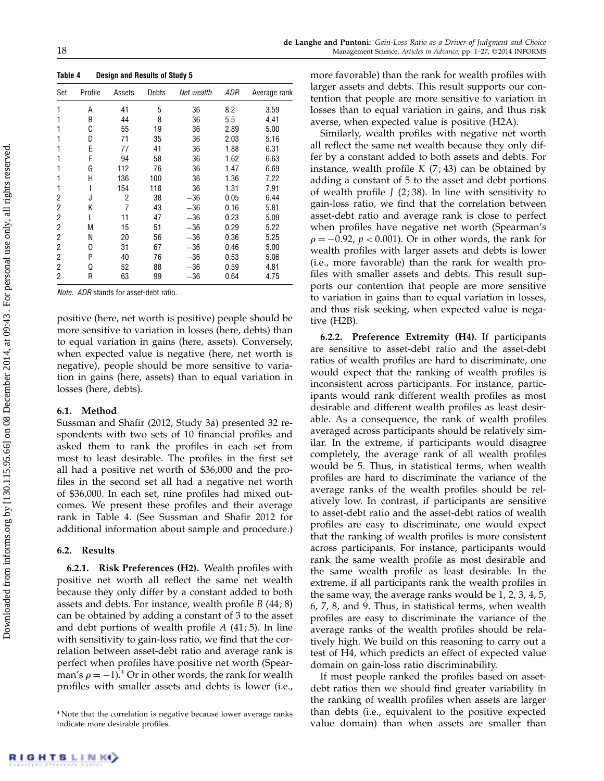| Set            | Profile | Assets | Debts | Net wealth | ADR  | Average rank |
|----------------|---------|--------|-------|------------|------|--------------|
| 1              | А       | 41     | 5     | 36         | 8.2  | 3.59         |
| 1              | B       | 44     | 8     | 36         | 5.5  | 4.41         |
| 1              | C       | 55     | 19    | 36         | 2.89 | 5.00         |
| 1              | D       | 71     | 35    | 36         | 2.03 | 5.16         |
| 1              | E       | 77     | 41    | 36         | 1.88 | 6.31         |
| 1              | F       | 94     | 58    | 36         | 1.62 | 6.63         |
| 1              | G       | 112    | 76    | 36         | 1.47 | 6.69         |
| 1              | Н       | 136    | 100   | 36         | 1.36 | 7.22         |
| 1              |         | 154    | 118   | 36         | 1.31 | 7.91         |
| 2              | J       | 2      | 38    | $-36$      | 0.05 | 6.44         |
| $\overline{2}$ | Κ       | 7      | 43    | $-36$      | 0.16 | 5.81         |
| 2              | L       | 11     | 47    | $-36$      | 0.23 | 5.09         |
| $\overline{c}$ | M       | 15     | 51    | $-36$      | 0.29 | 5.22         |
| $\overline{c}$ | N       | 20     | 56    | $-36$      | 0.36 | 5.25         |
| $\overline{2}$ | 0       | 31     | 67    | $-36$      | 0.46 | 5.00         |
| $\overline{2}$ | P       | 40     | 76    | $-36$      | 0.53 | 5.06         |
| 2              | Q       | 52     | 88    | $-36$      | 0.59 | 4.81         |
| 2              | R       | 63     | 99    | $-36$      | 0.64 | 4.75         |

Table 4 Design and Results of Study 5

Note. ADR stands for asset-debt ratio.

positive (here, net worth is positive) people should be more sensitive to variation in losses (here, debts) than to equal variation in gains (here, assets). Conversely, when expected value is negative (here, net worth is negative), people should be more sensitive to variation in gains (here, assets) than to equal variation in losses (here, debts).

#### 6.1. Method

Sussman and Shafir (2012, Study 3a) presented 32 respondents with two sets of 10 financial profiles and asked them to rank the profiles in each set from most to least desirable. The profiles in the first set all had a positive net worth of \$36,000 and the profiles in the second set all had a negative net worth of \$36,000. In each set, nine profiles had mixed outcomes. We present these profiles and their average rank in Table 4. (See Sussman and Shafir 2012 for additional information about sample and procedure.)

## 6.2. Results

6.2.1. Risk Preferences (H2). Wealth profiles with positive net worth all reflect the same net wealth because they only differ by a constant added to both assets and debts. For instance, wealth profile  $B(44; 8)$ can be obtained by adding a constant of 3 to the asset and debt portions of wealth profile  $A(41; 5)$ . In line with sensitivity to gain-loss ratio, we find that the correlation between asset-debt ratio and average rank is perfect when profiles have positive net worth (Spearman's  $\rho = -1$ ).<sup>4</sup> Or in other words, the rank for wealth profiles with smaller assets and debts is lower (i.e., more favorable) than the rank for wealth profiles with larger assets and debts. This result supports our contention that people are more sensitive to variation in losses than to equal variation in gains, and thus risk averse, when expected value is positive (H2A).

Similarly, wealth profiles with negative net worth all reflect the same net wealth because they only differ by a constant added to both assets and debts. For instance, wealth profile  $K$  (7; 43) can be obtained by adding a constant of 5 to the asset and debt portions of wealth profile  $J(2, 38)$ . In line with sensitivity to gain-loss ratio, we find that the correlation between asset-debt ratio and average rank is close to perfect when profiles have negative net worth (Spearman's  $\rho = -0.92$ ,  $p < 0.001$ ). Or in other words, the rank for wealth profiles with larger assets and debts is lower (i.e., more favorable) than the rank for wealth profiles with smaller assets and debts. This result supports our contention that people are more sensitive to variation in gains than to equal variation in losses, and thus risk seeking, when expected value is negative (H2B).

6.2.2. Preference Extremity (H4). If participants are sensitive to asset-debt ratio and the asset-debt ratios of wealth profiles are hard to discriminate, one would expect that the ranking of wealth profiles is inconsistent across participants. For instance, participants would rank different wealth profiles as most desirable and different wealth profiles as least desirable. As a consequence, the rank of wealth profiles averaged across participants should be relatively similar. In the extreme, if participants would disagree completely, the average rank of all wealth profiles would be 5. Thus, in statistical terms, when wealth profiles are hard to discriminate the variance of the average ranks of the wealth profiles should be relatively low. In contrast, if participants are sensitive to asset-debt ratio and the asset-debt ratios of wealth profiles are easy to discriminate, one would expect that the ranking of wealth profiles is more consistent across participants. For instance, participants would rank the same wealth profile as most desirable and the same wealth profile as least desirable. In the extreme, if all participants rank the wealth profiles in the same way, the average ranks would be 1, 2, 3, 4, 5, 6, 7, 8, and 9. Thus, in statistical terms, when wealth profiles are easy to discriminate the variance of the average ranks of the wealth profiles should be relatively high. We build on this reasoning to carry out a test of H4, which predicts an effect of expected value domain on gain-loss ratio discriminability.

If most people ranked the profiles based on assetdebt ratios then we should find greater variability in the ranking of wealth profiles when assets are larger than debts (i.e., equivalent to the positive expected value domain) than when assets are smaller than

<sup>&</sup>lt;sup>4</sup> Note that the correlation is negative because lower average ranks indicate more desirable profiles.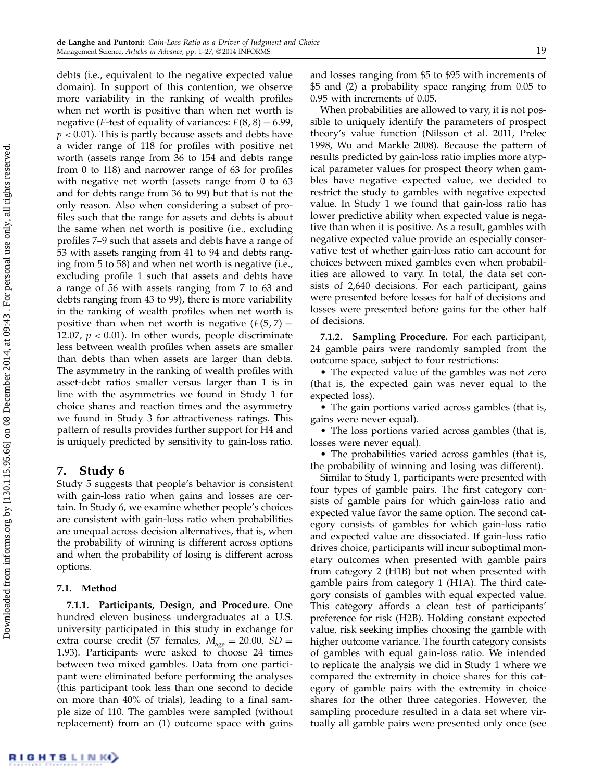debts (i.e., equivalent to the negative expected value domain). In support of this contention, we observe more variability in the ranking of wealth profiles when net worth is positive than when net worth is negative (*F*-test of equality of variances:  $F(8, 8) = 6.99$ ,  $p < 0.01$ ). This is partly because assets and debts have a wider range of 118 for profiles with positive net worth (assets range from 36 to 154 and debts range from 0 to 118) and narrower range of 63 for profiles with negative net worth (assets range from 0 to 63 and for debts range from 36 to 99) but that is not the only reason. Also when considering a subset of profiles such that the range for assets and debts is about the same when net worth is positive (i.e., excluding profiles 7–9 such that assets and debts have a range of 53 with assets ranging from 41 to 94 and debts ranging from 5 to 58) and when net worth is negative (i.e., excluding profile 1 such that assets and debts have a range of 56 with assets ranging from 7 to 63 and debts ranging from 43 to 99), there is more variability in the ranking of wealth profiles when net worth is positive than when net worth is negative  $(F(5, 7) =$ 12.07,  $p < 0.01$ ). In other words, people discriminate less between wealth profiles when assets are smaller than debts than when assets are larger than debts. The asymmetry in the ranking of wealth profiles with asset-debt ratios smaller versus larger than 1 is in line with the asymmetries we found in Study 1 for choice shares and reaction times and the asymmetry we found in Study 3 for attractiveness ratings. This pattern of results provides further support for H4 and is uniquely predicted by sensitivity to gain-loss ratio.

## 7. Study 6

Study 5 suggests that people's behavior is consistent with gain-loss ratio when gains and losses are certain. In Study 6, we examine whether people's choices are consistent with gain-loss ratio when probabilities are unequal across decision alternatives, that is, when the probability of winning is different across options and when the probability of losing is different across options.

## 7.1. Method

7.1.1. Participants, Design, and Procedure. One hundred eleven business undergraduates at a U.S. university participated in this study in exchange for extra course credit (57 females,  $M_{\text{age}} = 20.00$ , SD = 1.93). Participants were asked to choose 24 times between two mixed gambles. Data from one participant were eliminated before performing the analyses (this participant took less than one second to decide on more than 40% of trials), leading to a final sample size of 110. The gambles were sampled (without replacement) from an (1) outcome space with gains and losses ranging from \$5 to \$95 with increments of \$5 and (2) a probability space ranging from 0.05 to 0.95 with increments of 0.05.

When probabilities are allowed to vary, it is not possible to uniquely identify the parameters of prospect theory's value function (Nilsson et al. 2011, Prelec 1998, Wu and Markle 2008). Because the pattern of results predicted by gain-loss ratio implies more atypical parameter values for prospect theory when gambles have negative expected value, we decided to restrict the study to gambles with negative expected value. In Study 1 we found that gain-loss ratio has lower predictive ability when expected value is negative than when it is positive. As a result, gambles with negative expected value provide an especially conservative test of whether gain-loss ratio can account for choices between mixed gambles even when probabilities are allowed to vary. In total, the data set consists of 2,640 decisions. For each participant, gains were presented before losses for half of decisions and losses were presented before gains for the other half of decisions.

7.1.2. Sampling Procedure. For each participant, 24 gamble pairs were randomly sampled from the outcome space, subject to four restrictions:

• The expected value of the gambles was not zero (that is, the expected gain was never equal to the expected loss).

• The gain portions varied across gambles (that is, gains were never equal).

• The loss portions varied across gambles (that is, losses were never equal).

• The probabilities varied across gambles (that is, the probability of winning and losing was different).

Similar to Study 1, participants were presented with four types of gamble pairs. The first category consists of gamble pairs for which gain-loss ratio and expected value favor the same option. The second category consists of gambles for which gain-loss ratio and expected value are dissociated. If gain-loss ratio drives choice, participants will incur suboptimal monetary outcomes when presented with gamble pairs from category 2 (H1B) but not when presented with gamble pairs from category 1 (H1A). The third category consists of gambles with equal expected value. This category affords a clean test of participants' preference for risk (H2B). Holding constant expected value, risk seeking implies choosing the gamble with higher outcome variance. The fourth category consists of gambles with equal gain-loss ratio. We intended to replicate the analysis we did in Study 1 where we compared the extremity in choice shares for this category of gamble pairs with the extremity in choice shares for the other three categories. However, the sampling procedure resulted in a data set where virtually all gamble pairs were presented only once (see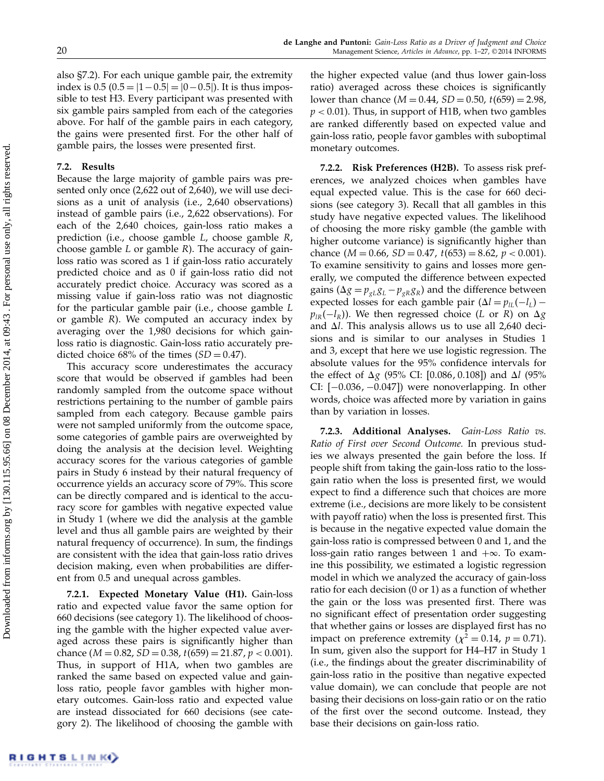also §7.2). For each unique gamble pair, the extremity index is  $0.5 (0.5 = |1 - 0.5| = |0 - 0.5|)$ . It is thus impossible to test H3. Every participant was presented with six gamble pairs sampled from each of the categories above. For half of the gamble pairs in each category, the gains were presented first. For the other half of gamble pairs, the losses were presented first.

## 7.2. Results

Because the large majority of gamble pairs was presented only once (2,622 out of 2,640), we will use decisions as a unit of analysis (i.e., 2,640 observations) instead of gamble pairs (i.e., 2,622 observations). For each of the 2,640 choices, gain-loss ratio makes a prediction (i.e., choose gamble L, choose gamble R, choose gamble  $L$  or gamble  $R$ ). The accuracy of gainloss ratio was scored as 1 if gain-loss ratio accurately predicted choice and as 0 if gain-loss ratio did not accurately predict choice. Accuracy was scored as a missing value if gain-loss ratio was not diagnostic for the particular gamble pair (i.e., choose gamble L or gamble  $R$ ). We computed an accuracy index by averaging over the 1,980 decisions for which gainloss ratio is diagnostic. Gain-loss ratio accurately predicted choice 68% of the times  $(SD = 0.47)$ .

This accuracy score underestimates the accuracy score that would be observed if gambles had been randomly sampled from the outcome space without restrictions pertaining to the number of gamble pairs sampled from each category. Because gamble pairs were not sampled uniformly from the outcome space, some categories of gamble pairs are overweighted by doing the analysis at the decision level. Weighting accuracy scores for the various categories of gamble pairs in Study 6 instead by their natural frequency of occurrence yields an accuracy score of 79%. This score can be directly compared and is identical to the accuracy score for gambles with negative expected value in Study 1 (where we did the analysis at the gamble level and thus all gamble pairs are weighted by their natural frequency of occurrence). In sum, the findings are consistent with the idea that gain-loss ratio drives decision making, even when probabilities are different from 0.5 and unequal across gambles.

7.2.1. Expected Monetary Value (H1). Gain-loss ratio and expected value favor the same option for 660 decisions (see category 1). The likelihood of choosing the gamble with the higher expected value averaged across these pairs is significantly higher than chance ( $M = 0.82$ ,  $SD = 0.38$ ,  $t(659) = 21.87$ ,  $p < 0.001$ ). Thus, in support of H1A, when two gambles are ranked the same based on expected value and gainloss ratio, people favor gambles with higher monetary outcomes. Gain-loss ratio and expected value are instead dissociated for 660 decisions (see category 2). The likelihood of choosing the gamble with the higher expected value (and thus lower gain-loss ratio) averaged across these choices is significantly lower than chance ( $M = 0.44$ ,  $SD = 0.50$ ,  $t(659) = 2.98$ ,  $p < 0.01$ ). Thus, in support of H1B, when two gambles are ranked differently based on expected value and gain-loss ratio, people favor gambles with suboptimal monetary outcomes.

7.2.2. Risk Preferences (H2B). To assess risk preferences, we analyzed choices when gambles have equal expected value. This is the case for 660 decisions (see category 3). Recall that all gambles in this study have negative expected values. The likelihood of choosing the more risky gamble (the gamble with higher outcome variance) is significantly higher than chance ( $M = 0.66$ ,  $SD = 0.47$ ,  $t(653) = 8.62$ ,  $p < 0.001$ ). To examine sensitivity to gains and losses more generally, we computed the difference between expected gains ( $\Delta g = p_{gL}g_L - p_{gR}g_R$ ) and the difference between expected losses for each gamble pair  $(\Delta l = p_{lL}(-l_L)$  $p_{lR}(-l_R)$ ). We then regressed choice (L or R) on  $\Delta g$ and  $\Delta l$ . This analysis allows us to use all 2,640 decisions and is similar to our analyses in Studies 1 and 3, except that here we use logistic regression. The absolute values for the 95% confidence intervals for the effect of  $\Delta g$  (95% CI: [0.086, 0.108]) and  $\Delta l$  (95% CI:  $[-0.036, -0.047]$ ) were nonoverlapping. In other words, choice was affected more by variation in gains than by variation in losses.

7.2.3. Additional Analyses. Gain-Loss Ratio vs. Ratio of First over Second Outcome. In previous studies we always presented the gain before the loss. If people shift from taking the gain-loss ratio to the lossgain ratio when the loss is presented first, we would expect to find a difference such that choices are more extreme (i.e., decisions are more likely to be consistent with payoff ratio) when the loss is presented first. This is because in the negative expected value domain the gain-loss ratio is compressed between 0 and 1, and the loss-gain ratio ranges between 1 and  $+\infty$ . To examine this possibility, we estimated a logistic regression model in which we analyzed the accuracy of gain-loss ratio for each decision (0 or 1) as a function of whether the gain or the loss was presented first. There was no significant effect of presentation order suggesting that whether gains or losses are displayed first has no impact on preference extremity ( $\chi^2 = 0.14$ ,  $p = 0.71$ ). In sum, given also the support for H4–H7 in Study 1 (i.e., the findings about the greater discriminability of gain-loss ratio in the positive than negative expected value domain), we can conclude that people are not basing their decisions on loss-gain ratio or on the ratio of the first over the second outcome. Instead, they base their decisions on gain-loss ratio.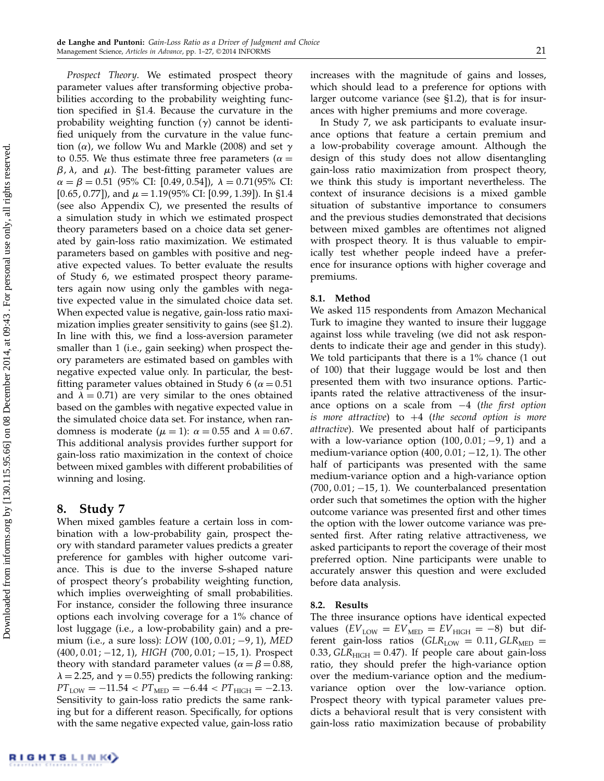Prospect Theory. We estimated prospect theory parameter values after transforming objective probabilities according to the probability weighting function specified in §1.4. Because the curvature in the probability weighting function  $(\gamma)$  cannot be identified uniquely from the curvature in the value function ( $\alpha$ ), we follow Wu and Markle (2008) and set  $\gamma$ to 0.55. We thus estimate three free parameters ( $\alpha =$  $\beta$ ,  $\lambda$ , and  $\mu$ ). The best-fitting parameter values are  $\alpha = \beta = 0.51$  (95% CI: [0.49, 0.54]),  $\lambda = 0.71$ (95% CI: [0.65, 0.77]), and  $\mu = 1.19(95\% \text{ CI: } [0.99, 1.39])$ . In §1.4 (see also Appendix C), we presented the results of a simulation study in which we estimated prospect theory parameters based on a choice data set generated by gain-loss ratio maximization. We estimated parameters based on gambles with positive and negative expected values. To better evaluate the results of Study 6, we estimated prospect theory parameters again now using only the gambles with negative expected value in the simulated choice data set. When expected value is negative, gain-loss ratio maximization implies greater sensitivity to gains (see §1.2). In line with this, we find a loss-aversion parameter smaller than 1 (i.e., gain seeking) when prospect theory parameters are estimated based on gambles with negative expected value only. In particular, the bestfitting parameter values obtained in Study 6 ( $\alpha$  = 0.51 and  $\lambda = 0.71$ ) are very similar to the ones obtained based on the gambles with negative expected value in the simulated choice data set. For instance, when randomness is moderate ( $\mu = 1$ ):  $\alpha = 0.55$  and  $\lambda = 0.67$ . This additional analysis provides further support for gain-loss ratio maximization in the context of choice between mixed gambles with different probabilities of winning and losing.

## 8. Study 7

When mixed gambles feature a certain loss in combination with a low-probability gain, prospect theory with standard parameter values predicts a greater preference for gambles with higher outcome variance. This is due to the inverse S-shaped nature of prospect theory's probability weighting function, which implies overweighting of small probabilities. For instance, consider the following three insurance options each involving coverage for a 1% chance of lost luggage (i.e., a low-probability gain) and a premium (i.e., a sure loss): LOW (100, 0.01; −9, 1), MED  $(400, 0.01; -12, 1)$ , HIGH  $(700, 0.01; -15, 1)$ . Prospect theory with standard parameter values ( $\alpha = \beta = 0.88$ ,  $\lambda = 2.25$ , and  $\gamma = 0.55$ ) predicts the following ranking:  $PT_{\text{LOW}} = -11.54 < PT_{\text{MED}} = -6.44 < PT_{\text{HIGH}} = -2.13.$ Sensitivity to gain-loss ratio predicts the same ranking but for a different reason. Specifically, for options with the same negative expected value, gain-loss ratio increases with the magnitude of gains and losses, which should lead to a preference for options with larger outcome variance (see §1.2), that is for insurances with higher premiums and more coverage.

In Study 7, we ask participants to evaluate insurance options that feature a certain premium and a low-probability coverage amount. Although the design of this study does not allow disentangling gain-loss ratio maximization from prospect theory, we think this study is important nevertheless. The context of insurance decisions is a mixed gamble situation of substantive importance to consumers and the previous studies demonstrated that decisions between mixed gambles are oftentimes not aligned with prospect theory. It is thus valuable to empirically test whether people indeed have a preference for insurance options with higher coverage and premiums.

## 8.1. Method

We asked 115 respondents from Amazon Mechanical Turk to imagine they wanted to insure their luggage against loss while traveling (we did not ask respondents to indicate their age and gender in this study). We told participants that there is a 1% chance (1 out of 100) that their luggage would be lost and then presented them with two insurance options. Participants rated the relative attractiveness of the insurance options on a scale from −4 (the first option is more attractive) to  $+4$  (the second option is more attractive). We presented about half of participants with a low-variance option  $(100, 0.01, -9, 1)$  and a medium-variance option  $(400, 0.01, -12, 1)$ . The other half of participants was presented with the same medium-variance option and a high-variance option  $(700, 0.01, -15, 1)$ . We counterbalanced presentation order such that sometimes the option with the higher outcome variance was presented first and other times the option with the lower outcome variance was presented first. After rating relative attractiveness, we asked participants to report the coverage of their most preferred option. Nine participants were unable to accurately answer this question and were excluded before data analysis.

## 8.2. Results

The three insurance options have identical expected values  $(EV_{\text{LOW}} = EV_{\text{MED}} = EV_{\text{HIGH}} = -8)$  but different gain-loss ratios ( $GLR_{\text{LOW}} = 0.11, GLR_{\text{MED}} =$ 0.33,  $GLR<sub>HIGH</sub> = 0.47$ . If people care about gain-loss ratio, they should prefer the high-variance option over the medium-variance option and the mediumvariance option over the low-variance option. Prospect theory with typical parameter values predicts a behavioral result that is very consistent with gain-loss ratio maximization because of probability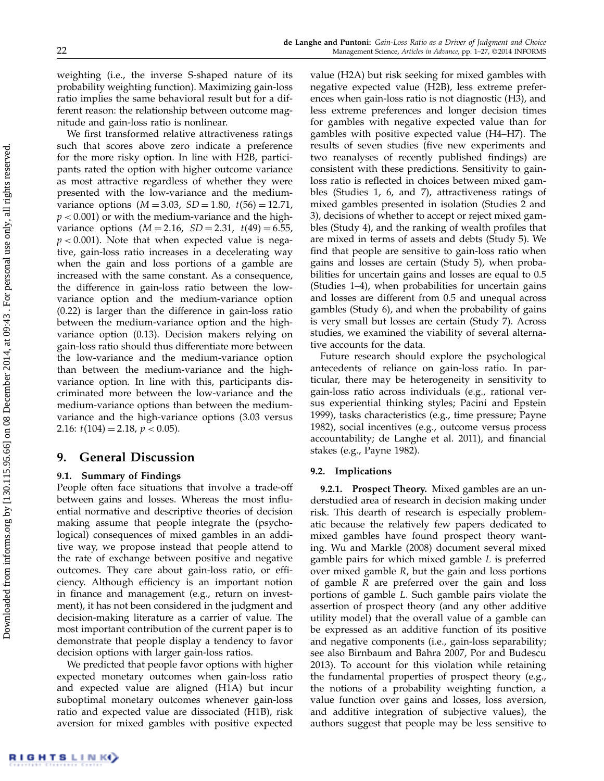weighting (i.e., the inverse S-shaped nature of its probability weighting function). Maximizing gain-loss ratio implies the same behavioral result but for a different reason: the relationship between outcome magnitude and gain-loss ratio is nonlinear.

We first transformed relative attractiveness ratings such that scores above zero indicate a preference for the more risky option. In line with H2B, participants rated the option with higher outcome variance as most attractive regardless of whether they were presented with the low-variance and the mediumvariance options  $(M = 3.03, SD = 1.80, t(56) = 12.71,$  $p < 0.001$ ) or with the medium-variance and the highvariance options  $(M = 2.16, SD = 2.31, t(49) = 6.55,$  $p < 0.001$ ). Note that when expected value is negative, gain-loss ratio increases in a decelerating way when the gain and loss portions of a gamble are increased with the same constant. As a consequence, the difference in gain-loss ratio between the lowvariance option and the medium-variance option (0.22) is larger than the difference in gain-loss ratio between the medium-variance option and the highvariance option (0.13). Decision makers relying on gain-loss ratio should thus differentiate more between the low-variance and the medium-variance option than between the medium-variance and the highvariance option. In line with this, participants discriminated more between the low-variance and the medium-variance options than between the mediumvariance and the high-variance options (3.03 versus 2.16:  $t(104) = 2.18$ ,  $p < 0.05$ ).

## 9. General Discussion

## 9.1. Summary of Findings

People often face situations that involve a trade-off between gains and losses. Whereas the most influential normative and descriptive theories of decision making assume that people integrate the (psychological) consequences of mixed gambles in an additive way, we propose instead that people attend to the rate of exchange between positive and negative outcomes. They care about gain-loss ratio, or efficiency. Although efficiency is an important notion in finance and management (e.g., return on investment), it has not been considered in the judgment and decision-making literature as a carrier of value. The most important contribution of the current paper is to demonstrate that people display a tendency to favor decision options with larger gain-loss ratios.

We predicted that people favor options with higher expected monetary outcomes when gain-loss ratio and expected value are aligned (H1A) but incur suboptimal monetary outcomes whenever gain-loss ratio and expected value are dissociated (H1B), risk aversion for mixed gambles with positive expected value (H2A) but risk seeking for mixed gambles with negative expected value (H2B), less extreme preferences when gain-loss ratio is not diagnostic (H3), and less extreme preferences and longer decision times for gambles with negative expected value than for gambles with positive expected value (H4–H7). The results of seven studies (five new experiments and two reanalyses of recently published findings) are consistent with these predictions. Sensitivity to gainloss ratio is reflected in choices between mixed gambles (Studies 1, 6, and 7), attractiveness ratings of mixed gambles presented in isolation (Studies 2 and 3), decisions of whether to accept or reject mixed gambles (Study 4), and the ranking of wealth profiles that are mixed in terms of assets and debts (Study 5). We find that people are sensitive to gain-loss ratio when gains and losses are certain (Study 5), when probabilities for uncertain gains and losses are equal to 0.5 (Studies 1–4), when probabilities for uncertain gains and losses are different from 0.5 and unequal across gambles (Study 6), and when the probability of gains is very small but losses are certain (Study 7). Across studies, we examined the viability of several alternative accounts for the data.

Future research should explore the psychological antecedents of reliance on gain-loss ratio. In particular, there may be heterogeneity in sensitivity to gain-loss ratio across individuals (e.g., rational versus experiential thinking styles; Pacini and Epstein 1999), tasks characteristics (e.g., time pressure; Payne 1982), social incentives (e.g., outcome versus process accountability; de Langhe et al. 2011), and financial stakes (e.g., Payne 1982).

## 9.2. Implications

9.2.1. Prospect Theory. Mixed gambles are an understudied area of research in decision making under risk. This dearth of research is especially problematic because the relatively few papers dedicated to mixed gambles have found prospect theory wanting. Wu and Markle (2008) document several mixed gamble pairs for which mixed gamble L is preferred over mixed gamble R, but the gain and loss portions of gamble R are preferred over the gain and loss portions of gamble L. Such gamble pairs violate the assertion of prospect theory (and any other additive utility model) that the overall value of a gamble can be expressed as an additive function of its positive and negative components (i.e., gain-loss separability; see also Birnbaum and Bahra 2007, Por and Budescu 2013). To account for this violation while retaining the fundamental properties of prospect theory (e.g., the notions of a probability weighting function, a value function over gains and losses, loss aversion, and additive integration of subjective values), the authors suggest that people may be less sensitive to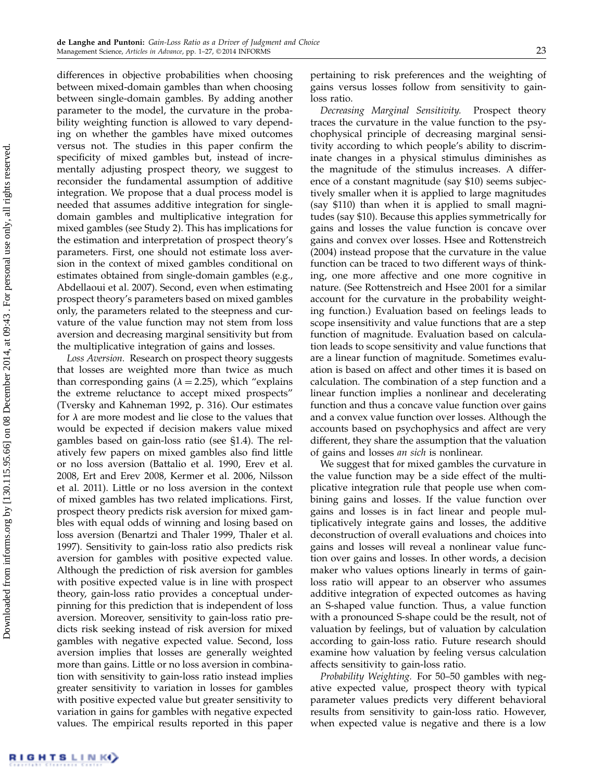differences in objective probabilities when choosing between mixed-domain gambles than when choosing between single-domain gambles. By adding another parameter to the model, the curvature in the probability weighting function is allowed to vary depending on whether the gambles have mixed outcomes versus not. The studies in this paper confirm the specificity of mixed gambles but, instead of incrementally adjusting prospect theory, we suggest to reconsider the fundamental assumption of additive integration. We propose that a dual process model is needed that assumes additive integration for singledomain gambles and multiplicative integration for mixed gambles (see Study 2). This has implications for the estimation and interpretation of prospect theory's parameters. First, one should not estimate loss aversion in the context of mixed gambles conditional on estimates obtained from single-domain gambles (e.g., Abdellaoui et al. 2007). Second, even when estimating prospect theory's parameters based on mixed gambles only, the parameters related to the steepness and curvature of the value function may not stem from loss aversion and decreasing marginal sensitivity but from the multiplicative integration of gains and losses.

Loss Aversion. Research on prospect theory suggests that losses are weighted more than twice as much than corresponding gains ( $\lambda = 2.25$ ), which "explains the extreme reluctance to accept mixed prospects" (Tversky and Kahneman 1992, p. 316). Our estimates for  $\lambda$  are more modest and lie close to the values that would be expected if decision makers value mixed gambles based on gain-loss ratio (see §1.4). The relatively few papers on mixed gambles also find little or no loss aversion (Battalio et al. 1990, Erev et al. 2008, Ert and Erev 2008, Kermer et al. 2006, Nilsson et al. 2011). Little or no loss aversion in the context of mixed gambles has two related implications. First, prospect theory predicts risk aversion for mixed gambles with equal odds of winning and losing based on loss aversion (Benartzi and Thaler 1999, Thaler et al. 1997). Sensitivity to gain-loss ratio also predicts risk aversion for gambles with positive expected value. Although the prediction of risk aversion for gambles with positive expected value is in line with prospect theory, gain-loss ratio provides a conceptual underpinning for this prediction that is independent of loss aversion. Moreover, sensitivity to gain-loss ratio predicts risk seeking instead of risk aversion for mixed gambles with negative expected value. Second, loss aversion implies that losses are generally weighted more than gains. Little or no loss aversion in combination with sensitivity to gain-loss ratio instead implies greater sensitivity to variation in losses for gambles with positive expected value but greater sensitivity to variation in gains for gambles with negative expected values. The empirical results reported in this paper pertaining to risk preferences and the weighting of gains versus losses follow from sensitivity to gainloss ratio.

Decreasing Marginal Sensitivity. Prospect theory traces the curvature in the value function to the psychophysical principle of decreasing marginal sensitivity according to which people's ability to discriminate changes in a physical stimulus diminishes as the magnitude of the stimulus increases. A difference of a constant magnitude (say \$10) seems subjectively smaller when it is applied to large magnitudes (say \$110) than when it is applied to small magnitudes (say \$10). Because this applies symmetrically for gains and losses the value function is concave over gains and convex over losses. Hsee and Rottenstreich (2004) instead propose that the curvature in the value function can be traced to two different ways of thinking, one more affective and one more cognitive in nature. (See Rottenstreich and Hsee 2001 for a similar account for the curvature in the probability weighting function.) Evaluation based on feelings leads to scope insensitivity and value functions that are a step function of magnitude. Evaluation based on calculation leads to scope sensitivity and value functions that are a linear function of magnitude. Sometimes evaluation is based on affect and other times it is based on calculation. The combination of a step function and a linear function implies a nonlinear and decelerating function and thus a concave value function over gains and a convex value function over losses. Although the accounts based on psychophysics and affect are very different, they share the assumption that the valuation of gains and losses an sich is nonlinear.

We suggest that for mixed gambles the curvature in the value function may be a side effect of the multiplicative integration rule that people use when combining gains and losses. If the value function over gains and losses is in fact linear and people multiplicatively integrate gains and losses, the additive deconstruction of overall evaluations and choices into gains and losses will reveal a nonlinear value function over gains and losses. In other words, a decision maker who values options linearly in terms of gainloss ratio will appear to an observer who assumes additive integration of expected outcomes as having an S-shaped value function. Thus, a value function with a pronounced S-shape could be the result, not of valuation by feelings, but of valuation by calculation according to gain-loss ratio. Future research should examine how valuation by feeling versus calculation affects sensitivity to gain-loss ratio.

Probability Weighting. For 50–50 gambles with negative expected value, prospect theory with typical parameter values predicts very different behavioral results from sensitivity to gain-loss ratio. However, when expected value is negative and there is a low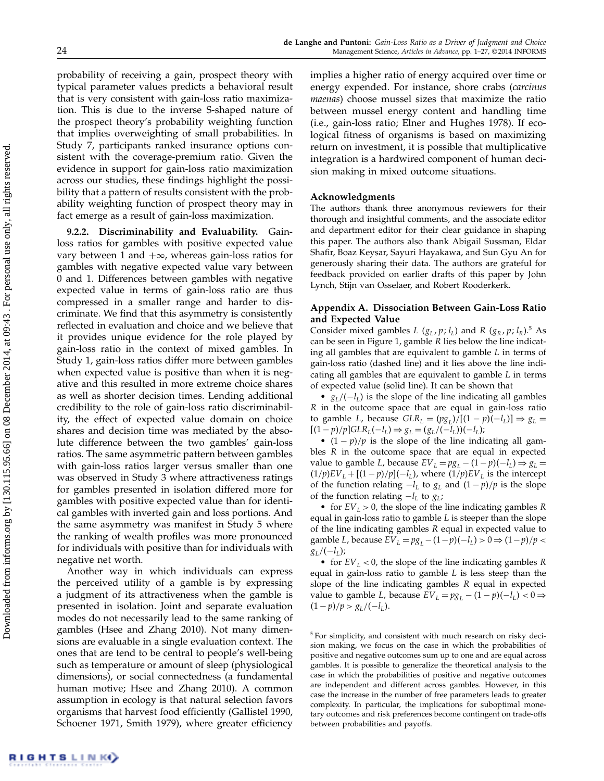probability of receiving a gain, prospect theory with typical parameter values predicts a behavioral result that is very consistent with gain-loss ratio maximization. This is due to the inverse S-shaped nature of the prospect theory's probability weighting function that implies overweighting of small probabilities. In Study 7, participants ranked insurance options consistent with the coverage-premium ratio. Given the evidence in support for gain-loss ratio maximization across our studies, these findings highlight the possibility that a pattern of results consistent with the probability weighting function of prospect theory may in fact emerge as a result of gain-loss maximization.

9.2.2. Discriminability and Evaluability. Gainloss ratios for gambles with positive expected value vary between 1 and  $+\infty$ , whereas gain-loss ratios for gambles with negative expected value vary between 0 and 1. Differences between gambles with negative expected value in terms of gain-loss ratio are thus compressed in a smaller range and harder to discriminate. We find that this asymmetry is consistently reflected in evaluation and choice and we believe that it provides unique evidence for the role played by gain-loss ratio in the context of mixed gambles. In Study 1, gain-loss ratios differ more between gambles when expected value is positive than when it is negative and this resulted in more extreme choice shares as well as shorter decision times. Lending additional credibility to the role of gain-loss ratio discriminability, the effect of expected value domain on choice shares and decision time was mediated by the absolute difference between the two gambles' gain-loss ratios. The same asymmetric pattern between gambles with gain-loss ratios larger versus smaller than one was observed in Study 3 where attractiveness ratings for gambles presented in isolation differed more for gambles with positive expected value than for identical gambles with inverted gain and loss portions. And the same asymmetry was manifest in Study 5 where the ranking of wealth profiles was more pronounced for individuals with positive than for individuals with negative net worth.

Another way in which individuals can express the perceived utility of a gamble is by expressing a judgment of its attractiveness when the gamble is presented in isolation. Joint and separate evaluation modes do not necessarily lead to the same ranking of gambles (Hsee and Zhang 2010). Not many dimensions are evaluable in a single evaluation context. The ones that are tend to be central to people's well-being such as temperature or amount of sleep (physiological dimensions), or social connectedness (a fundamental human motive; Hsee and Zhang 2010). A common assumption in ecology is that natural selection favors organisms that harvest food efficiently (Gallistel 1990, Schoener 1971, Smith 1979), where greater efficiency implies a higher ratio of energy acquired over time or energy expended. For instance, shore crabs (carcinus maenas) choose mussel sizes that maximize the ratio between mussel energy content and handling time (i.e., gain-loss ratio; Elner and Hughes 1978). If ecological fitness of organisms is based on maximizing return on investment, it is possible that multiplicative integration is a hardwired component of human decision making in mixed outcome situations.

## Acknowledgments

The authors thank three anonymous reviewers for their thorough and insightful comments, and the associate editor and department editor for their clear guidance in shaping this paper. The authors also thank Abigail Sussman, Eldar Shafir, Boaz Keysar, Sayuri Hayakawa, and Sun Gyu An for generously sharing their data. The authors are grateful for feedback provided on earlier drafts of this paper by John Lynch, Stijn van Osselaer, and Robert Rooderkerk.

#### Appendix A. Dissociation Between Gain-Loss Ratio and Expected Value

Consider mixed gambles  $L(g_L, p; l_L)$  and  $R(g_R, p; l_R)$ .<sup>5</sup> As can be seen in Figure 1, gamble R lies below the line indicating all gambles that are equivalent to gamble L in terms of gain-loss ratio (dashed line) and it lies above the line indicating all gambles that are equivalent to gamble L in terms of expected value (solid line). It can be shown that

•  $g_L/(-l_L)$  is the slope of the line indicating all gambles R in the outcome space that are equal in gain-loss ratio to gamble L, because  $GLR_L = (pg_L)/[(1-p)(-l_L)] \Rightarrow g_L =$  $[(1-p)/p]GLR_L(-l_L) \Rightarrow g_L = (g_L/(-l_L))(-l_L);$ 

•  $(1 - p)/p$  is the slope of the line indicating all gambles R in the outcome space that are equal in expected value to gamble L, because  $EV_L = pg_L - (1 - p)(-l_L) \Rightarrow g_L =$  $(1/p)EV_L + [(1-p)/p](-l_L)$ , where  $(1/p)EV_L$  is the intercept of the function relating  $-l_L$  to  $g_L$  and  $(1-p)/p$  is the slope of the function relating  $-l_L$  to  $g_L$ ;

• for  $EV_L > 0$ , the slope of the line indicating gambles R equal in gain-loss ratio to gamble L is steeper than the slope of the line indicating gambles R equal in expected value to gamble L, because  $EV_L = pg_L - (1-p)(-l_L) > 0 \Rightarrow (1-p)/p <$  $g_L/(-l_L)$ ;

• for  $EV_L < 0$ , the slope of the line indicating gambles R equal in gain-loss ratio to gamble  $L$  is less steep than the slope of the line indicating gambles R equal in expected value to gamble L, because  $EV_L = pg_L - (1 - p)(-l_L) < 0 \Rightarrow$  $(1-p)/p > g_L/(-l_L).$ 

<sup>5</sup> For simplicity, and consistent with much research on risky decision making, we focus on the case in which the probabilities of positive and negative outcomes sum up to one and are equal across gambles. It is possible to generalize the theoretical analysis to the case in which the probabilities of positive and negative outcomes are independent and different across gambles. However, in this case the increase in the number of free parameters leads to greater complexity. In particular, the implications for suboptimal monetary outcomes and risk preferences become contingent on trade-offs between probabilities and payoffs.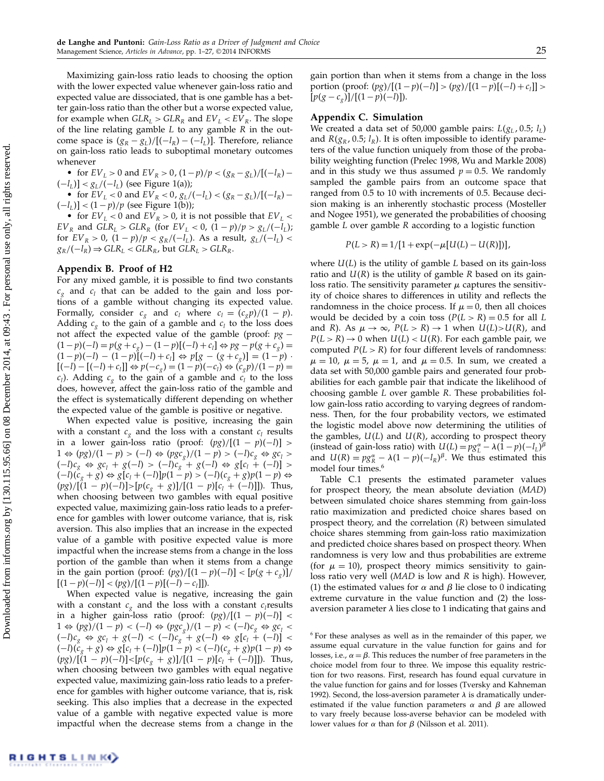Maximizing gain-loss ratio leads to choosing the option with the lower expected value whenever gain-loss ratio and expected value are dissociated, that is one gamble has a better gain-loss ratio than the other but a worse expected value, for example when  $GLR_L > GLR_R$  and  $EV_L < EV_R$ . The slope of the line relating gamble  $L$  to any gamble  $R$  in the outcome space is  $(g_R - g_L)/[(-l_R) - (-l_L)]$ . Therefore, reliance on gain-loss ratio leads to suboptimal monetary outcomes whenever

• for  $EV_L > 0$  and  $EV_R > 0$ ,  $(1-p)/p < (g_R - g_L)/[(-l_R) (-l_L)$ ] <  $g_L/(-l_L)$  (see Figure 1(a));

• for  $EV_L < 0$  and  $EV_R < 0$ ,  $g_L/(-l_L) < (g_R - g_L)/[(-l_R) (-l_L)$ ] <  $(1 - p)/p$  (see Figure 1(b));

• for  $EV_L < 0$  and  $EV_R > 0$ , it is not possible that  $EV_L <$  $EV_R$  and  $GLR_L > GLR_R$  (for  $EV_L < 0$ ,  $(1-p)/p > g_L/(-l_L)$ ; for  $EV_R > 0$ ,  $(1 - p)/p < g_R/(-l_L)$ . As a result,  $g_L/(-l_L) <$  $g_R/(-l_R) \Rightarrow GLR_L < GLR_R$ , but  $GLR_L > GLR_R$ .

#### Appendix B. Proof of H2

For any mixed gamble, it is possible to find two constants  $c_g$  and  $c_l$  that can be added to the gain and loss portions of a gamble without changing its expected value. Formally, consider  $c_g$  and  $c_l$  where  $c_l = (c_g p)/(1 - p)$ . Adding  $c_g$  to the gain of a gamble and  $c_l$  to the loss does not affect the expected value of the gamble (proof:  $pg$  –  $(1-p)(-l) = p(g + c_g) - (1-p)[(-l) + c_l] \Leftrightarrow pg - p(g + c_g) =$  $(1-p)(-l) - (1-p)[(-l) + c_l] \Leftrightarrow p[g - (g + c_g)] = (1-p)$ .  $[(-1) - [(-1) + c_1]] \Leftrightarrow p(-c_g) = (1 - p)(-c_1) \Leftrightarrow (c_g p)/(1 - p) =$  $c_l$ ). Adding  $c_g$  to the gain of a gamble and  $c_l$  to the loss does, however, affect the gain-loss ratio of the gamble and the effect is systematically different depending on whether the expected value of the gamble is positive or negative.

When expected value is positive, increasing the gain with a constant  $c_g$  and the loss with a constant  $c_l$  results in a lower gain-loss ratio (proof:  $(pg)/[(1 - p)(-l)] >$  $1 \Leftrightarrow (pg)/(1-p) > (-l) \Leftrightarrow (pgc_g)/(1-p) > (-l)c_g \Leftrightarrow gc_l >$  $(-l)c_g \Leftrightarrow gc_l + g(-l) > (-l)c_g + g(-l) \Leftrightarrow g[c_l + (-l)] >$  $(-1)(\overset{\circ}{c}_g + g) \Leftrightarrow g[c_1 + (-1)]p(1 - p) > (-1)(c_g + g)p(1 - p) \Leftrightarrow$  $\frac{p(g)}{[1 - p)(-l]}$  =  $\frac{p(c_g + g)}{[1 - p][c_l + (-l)]}$ . Thus, when choosing between two gambles with equal positive expected value, maximizing gain-loss ratio leads to a preference for gambles with lower outcome variance, that is, risk aversion. This also implies that an increase in the expected value of a gamble with positive expected value is more impactful when the increase stems from a change in the loss portion of the gamble than when it stems from a change in the gain portion (proof:  $(pg)/[(1-p)(-l)] < [p(g + c_g)]/$  $[(1-p)(-l)] < (pg)/[(1-p)[(-l)-c_l]]$ .

When expected value is negative, increasing the gain with a constant  $c_g$  and the loss with a constant  $c_l$ results in a higher gain-loss ratio (proof:  $(pg)/[(1 - p)(-l)] <$  $1 \Leftrightarrow (pg)/(1-p) < (-l) \Leftrightarrow (pgc_g)/(1-p) < (-l)c_g \Leftrightarrow gc_l <$  $(-l)c<sub>g</sub>$  ⇔  $gc<sub>l</sub> + g(-l) < (-l)c<sub>g</sub> + g(-l)$  ⇔  $g[c<sub>l</sub> + (-l)]$  <  $(-1)(\tilde{c}_g + g) \Leftrightarrow g[c_1 + (-1)]p(1-p) < (-1)(c_g + g)p(1-p) \Leftrightarrow$  $\frac{p(g)}{[1-p)(-l]}$  =  $\frac{p(c_g + g)}{[1-p)[c_l + (-l)]}$ . Thus, when choosing between two gambles with equal negative expected value, maximizing gain-loss ratio leads to a preference for gambles with higher outcome variance, that is, risk seeking. This also implies that a decrease in the expected value of a gamble with negative expected value is more impactful when the decrease stems from a change in the gain portion than when it stems from a change in the loss portion (proof:  $\frac{p(g)}{[(1-p)(-l)]}$  >  $\frac{p(g)}{[(1-p)[(-l)+c_l]]}$  >  $[p(g - c<sub>g</sub>)] / [(1 - p)(-l)].$ 

#### Appendix C. Simulation

We created a data set of 50,000 gamble pairs:  $L(g_L, 0.5; \, l_L)$ and  $R(g_R, 0.5; l_R)$ . It is often impossible to identify parameters of the value function uniquely from those of the probability weighting function (Prelec 1998, Wu and Markle 2008) and in this study we thus assumed  $p = 0.5$ . We randomly sampled the gamble pairs from an outcome space that ranged from 0.5 to 10 with increments of 0.5. Because decision making is an inherently stochastic process (Mosteller and Nogee 1951), we generated the probabilities of choosing gamble L over gamble R according to a logistic function

$$
P(L > R) = 1/[1 + \exp(-\mu [U(L) - U(R)])],
$$

where  $U(L)$  is the utility of gamble L based on its gain-loss ratio and  $U(R)$  is the utility of gamble R based on its gainloss ratio. The sensitivity parameter  $\mu$  captures the sensitivity of choice shares to differences in utility and reflects the randomness in the choice process. If  $\mu = 0$ , then all choices would be decided by a coin toss  $(P(L > R) = 0.5$  for all L and R). As  $\mu \to \infty$ ,  $P(L > R) \to 1$  when  $U(L) > U(R)$ , and  $P(L > R) \rightarrow 0$  when  $U(L) < U(R)$ . For each gamble pair, we computed  $P(L > R)$  for four different levels of randomness:  $\mu = 10$ ,  $\mu = 5$ ,  $\mu = 1$ , and  $\mu = 0.5$ . In sum, we created a data set with 50,000 gamble pairs and generated four probabilities for each gamble pair that indicate the likelihood of choosing gamble L over gamble R. These probabilities follow gain-loss ratio according to varying degrees of randomness. Then, for the four probability vectors, we estimated the logistic model above now determining the utilities of the gambles,  $U(L)$  and  $U(R)$ , according to prospect theory (instead of gain-loss ratio) with  $U(L) = pg_L^{\alpha} - \lambda(1-p)(-l_L)^{\beta}$ and  $U(R) = pg_R^{\alpha} - \lambda(1-p)(-l_R)^{\beta}$ . We thus estimated this model four times.<sup>6</sup>

Table C.1 presents the estimated parameter values for prospect theory, the mean absolute deviation (MAD) between simulated choice shares stemming from gain-loss ratio maximization and predicted choice shares based on prospect theory, and the correlation (R) between simulated choice shares stemming from gain-loss ratio maximization and predicted choice shares based on prospect theory. When randomness is very low and thus probabilities are extreme (for  $\mu = 10$ ), prospect theory mimics sensitivity to gainloss ratio very well (MAD is low and R is high). However, (1) the estimated values for  $\alpha$  and  $\beta$  lie close to 0 indicating extreme curvature in the value function and (2) the lossaversion parameter  $\lambda$  lies close to 1 indicating that gains and

<sup>6</sup> For these analyses as well as in the remainder of this paper, we assume equal curvature in the value function for gains and for losses, i.e.,  $\alpha = \beta$ . This reduces the number of free parameters in the choice model from four to three. We impose this equality restriction for two reasons. First, research has found equal curvature in the value function for gains and for losses (Tversky and Kahneman 1992). Second, the loss-aversion parameter  $\lambda$  is dramatically underestimated if the value function parameters  $\alpha$  and  $\beta$  are allowed to vary freely because loss-averse behavior can be modeled with lower values for  $\alpha$  than for  $\beta$  (Nilsson et al. 2011).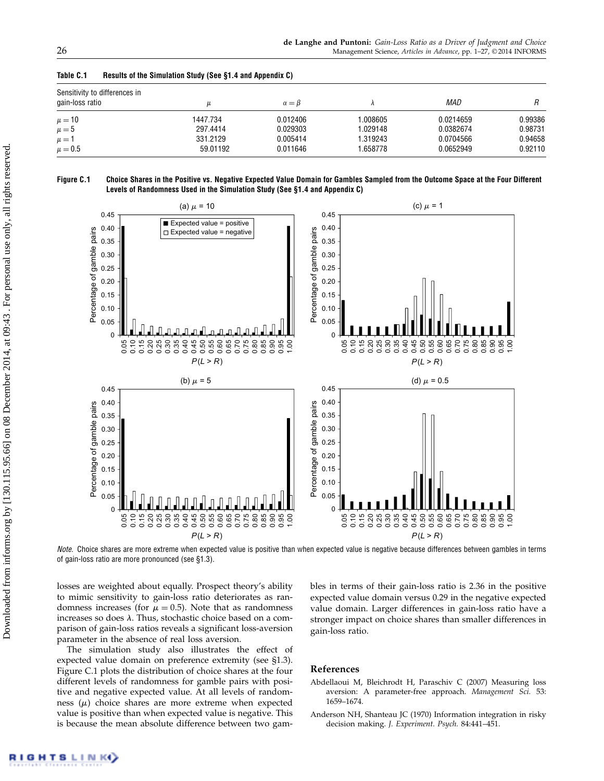|                                                  | . .      | .                |          |            |         |
|--------------------------------------------------|----------|------------------|----------|------------|---------|
| Sensitivity to differences in<br>gain-loss ratio |          | $\alpha = \beta$ |          | <b>MAD</b> |         |
| $\mu = 10$                                       | 1447.734 | 0.012406         | 1.008605 | 0.0214659  | 0.99386 |
| $\mu = 5$                                        | 297.4414 | 0.029303         | 1.029148 | 0.0382674  | 0.98731 |
| $\mu = 1$                                        | 331.2129 | 0.005414         | 1.319243 | 0.0704566  | 0.94658 |
| $\mu = 0.5$                                      | 59.01192 | 0.011646         | 1.658778 | 0.0652949  | 0.92110 |

#### Table C.1 Results of the Simulation Study (See §1.4 and Appendix C)

#### Figure C.1 Choice Shares in the Positive vs. Negative Expected Value Domain for Gambles Sampled from the Outcome Space at the Four Different Levels of Randomness Used in the Simulation Study (See §1.4 and Appendix C)



Note. Choice shares are more extreme when expected value is positive than when expected value is negative because differences between gambles in terms of gain-loss ratio are more pronounced (see §1.3).

losses are weighted about equally. Prospect theory's ability to mimic sensitivity to gain-loss ratio deteriorates as randomness increases (for  $\mu = 0.5$ ). Note that as randomness increases so does  $\lambda$ . Thus, stochastic choice based on a comparison of gain-loss ratios reveals a significant loss-aversion parameter in the absence of real loss aversion.

The simulation study also illustrates the effect of expected value domain on preference extremity (see §1.3). Figure C.1 plots the distribution of choice shares at the four different levels of randomness for gamble pairs with positive and negative expected value. At all levels of randomness  $(\mu)$  choice shares are more extreme when expected value is positive than when expected value is negative. This is because the mean absolute difference between two gambles in terms of their gain-loss ratio is 2.36 in the positive expected value domain versus 0.29 in the negative expected value domain. Larger differences in gain-loss ratio have a stronger impact on choice shares than smaller differences in gain-loss ratio.

#### References

- Abdellaoui M, Bleichrodt H, Paraschiv C (2007) Measuring loss aversion: A parameter-free approach. Management Sci. 53: 1659–1674.
- Anderson NH, Shanteau JC (1970) Information integration in risky decision making. J. Experiment. Psych. 84:441–451.